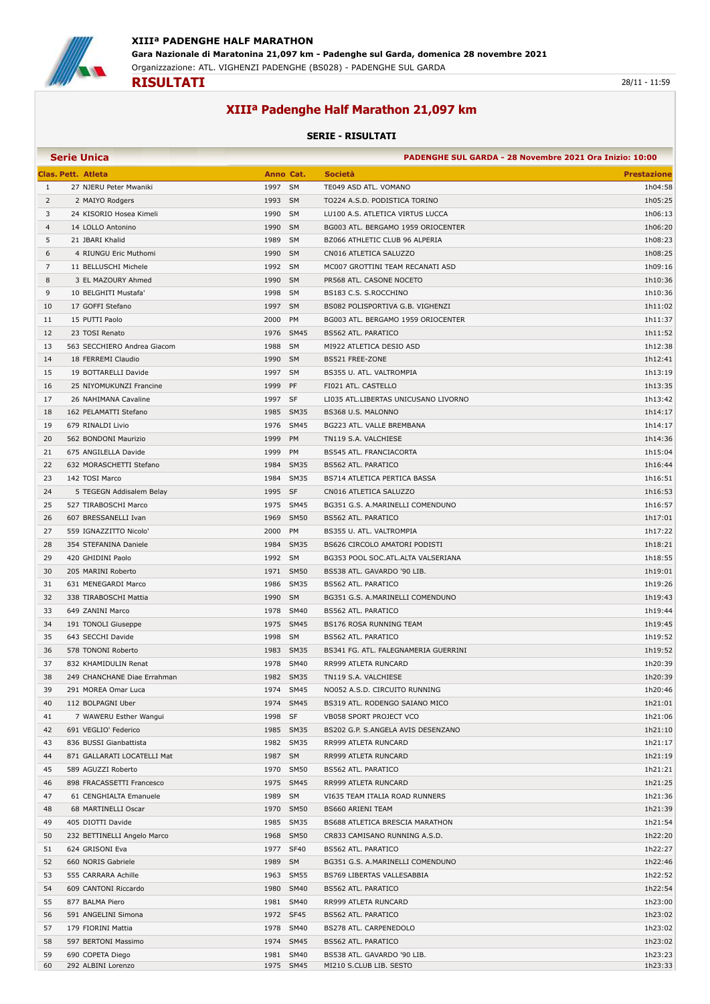

## **XIIIª Padenghe Half Marathon 21,097 km**

## **SERIE - RISULTATI**

|    | <b>Serie Unica</b>          |                     | PADENGHE SUL GARDA - 28 Novembre 2021 Ora Inizio: 10:00 |                    |
|----|-----------------------------|---------------------|---------------------------------------------------------|--------------------|
|    | <b>Clas. Pett. Atleta</b>   | Anno Cat.           | <b>Società</b>                                          | <b>Prestazione</b> |
| 1  | 27 NJERU Peter Mwaniki      | 1997 SM             | TE049 ASD ATL. VOMANO                                   | 1h04:58            |
| 2  | 2 MAIYO Rodgers             | 1993 SM             | TO224 A.S.D. PODISTICA TORINO                           | 1h05:25            |
| 3  | 24 KISORIO Hosea Kimeli     | 1990<br>SM          | LU100 A.S. ATLETICA VIRTUS LUCCA                        | 1h06:13            |
| 4  | 14 LOLLO Antonino           | 1990<br><b>SM</b>   | BG003 ATL. BERGAMO 1959 ORIOCENTER                      | 1h06:20            |
| 5  | 21 JBARI Khalid             | 1989<br>SM          | BZ066 ATHLETIC CLUB 96 ALPERIA                          | 1h08:23            |
| 6  | 4 RIUNGU Eric Muthomi       | 1990<br>SM          | CN016 ATLETICA SALUZZO                                  | 1h08:25            |
| 7  | 11 BELLUSCHI Michele        | 1992 SM             | MC007 GROTTINI TEAM RECANATI ASD                        | 1h09:16            |
| 8  | 3 EL MAZOURY Ahmed          | 1990 SM             | PR568 ATL. CASONE NOCETO                                | 1h10:36            |
| 9  | 10 BELGHITI Mustafa'        | 1998<br>SM          |                                                         | 1h10:36            |
|    |                             |                     | BS183 C.S. S.ROCCHINO                                   |                    |
| 10 | 17 GOFFI Stefano            | 1997 SM             | BS082 POLISPORTIVA G.B. VIGHENZI                        | 1h11:02            |
| 11 | 15 PUTTI Paolo              | 2000<br>PM          | BG003 ATL. BERGAMO 1959 ORIOCENTER                      | 1h11:37            |
| 12 | 23 TOSI Renato              | 1976 SM45           | <b>BS562 ATL. PARATICO</b>                              | 1h11:52            |
| 13 | 563 SECCHIERO Andrea Giacom | 1988 SM             | MI922 ATLETICA DESIO ASD                                | 1h12:38            |
| 14 | 18 FERREMI Claudio          | 1990 SM             | BS521 FREE-ZONE                                         | 1h12:41            |
| 15 | 19 BOTTARELLI Davide        | 1997 SM             | BS355 U. ATL. VALTROMPIA                                | 1h13:19            |
| 16 | 25 NIYOMUKUNZI Francine     | 1999<br>PF          | FI021 ATL. CASTELLO                                     | 1h13:35            |
| 17 | 26 NAHIMANA Cavaline        | 1997<br>SF          | LI035 ATL.LIBERTAS UNICUSANO LIVORNO                    | 1h13:42            |
| 18 | 162 PELAMATTI Stefano       | 1985 SM35           | BS368 U.S. MALONNO                                      | 1h14:17            |
| 19 | 679 RINALDI Livio           | 1976 SM45           | BG223 ATL. VALLE BREMBANA                               | 1h14:17            |
| 20 | 562 BONDONI Maurizio        | 1999<br>PM          | TN119 S.A. VALCHIESE                                    | 1h14:36            |
| 21 | 675 ANGILELLA Davide        | 1999<br>PM          | <b>BS545 ATL. FRANCIACORTA</b>                          | 1h15:04            |
| 22 | 632 MORASCHETTI Stefano     | 1984<br><b>SM35</b> | <b>BS562 ATL. PARATICO</b>                              | 1h16:44            |
| 23 | 142 TOSI Marco              | <b>SM35</b><br>1984 | BS714 ATLETICA PERTICA BASSA                            | 1h16:51            |
| 24 | 5 TEGEGN Addisalem Belay    | 1995 SF             | CN016 ATLETICA SALUZZO                                  | 1h16:53            |
| 25 | 527 TIRABOSCHI Marco        | 1975 SM45           | BG351 G.S. A.MARINELLI COMENDUNO                        | 1h16:57            |
| 26 | 607 BRESSANELLI Ivan        | 1969<br><b>SM50</b> | BS562 ATL. PARATICO                                     | 1h17:01            |
| 27 | 559 IGNAZZITTO Nicolo'      | 2000<br>PM          | BS355 U. ATL. VALTROMPIA                                | 1h17:22            |
| 28 | 354 STEFANINA Daniele       | 1984 SM35           | BS626 CIRCOLO AMATORI PODISTI                           | 1h18:21            |
| 29 | 420 GHIDINI Paolo           | 1992 SM             | BG353 POOL SOC.ATL.ALTA VALSERIANA                      | 1h18:55            |
| 30 | 205 MARINI Roberto          | 1971<br><b>SM50</b> | BS538 ATL. GAVARDO '90 LIB.                             | 1h19:01            |
| 31 | 631 MENEGARDI Marco         | 1986<br><b>SM35</b> | BS562 ATL. PARATICO                                     | 1h19:26            |
| 32 | 338 TIRABOSCHI Mattia       | 1990<br>SM          | BG351 G.S. A.MARINELLI COMENDUNO                        | 1h19:43            |
| 33 | 649 ZANINI Marco            | 1978 SM40           | <b>BS562 ATL. PARATICO</b>                              | 1h19:44            |
| 34 | 191 TONOLI Giuseppe         | 1975<br><b>SM45</b> | BS176 ROSA RUNNING TEAM                                 | 1h19:45            |
| 35 | 643 SECCHI Davide           | 1998 SM             | <b>BS562 ATL. PARATICO</b>                              | 1h19:52            |
| 36 | 578 TONONI Roberto          | 1983<br><b>SM35</b> | BS341 FG. ATL. FALEGNAMERIA GUERRINI                    | 1h19:52            |
| 37 | 832 KHAMIDULIN Renat        | 1978<br><b>SM40</b> | RR999 ATLETA RUNCARD                                    | 1h20:39            |
| 38 | 249 CHANCHANE Diae Errahman | 1982 SM35           | TN119 S.A. VALCHIESE                                    | 1h20:39            |
| 39 | 291 MOREA Omar Luca         | 1974 SM45           | NO052 A.S.D. CIRCUITO RUNNING                           | 1h20:46            |
| 40 | 112 BOLPAGNI Uber           | 1974 SM45           | BS319 ATL. RODENGO SAIANO MICO                          | 1h21:01            |
| 41 | 7 WAWERU Esther Wangui      | 1998 SF             | VB058 SPORT PROJECT VCO                                 | 1h21:06            |
| 42 | 691 VEGLIO' Federico        | 1985 SM35           | BS202 G.P. S.ANGELA AVIS DESENZANO                      | 1h21:10            |
| 43 | 836 BUSSI Gianbattista      | 1982 SM35           | RR999 ATLETA RUNCARD                                    | 1h21:17            |
|    |                             | 1987 SM             | RR999 ATLETA RUNCARD                                    | 1h21:19            |
| 44 | 871 GALLARATI LOCATELLI Mat |                     |                                                         |                    |
| 45 | 589 AGUZZI Roberto          | 1970 SM50           | BS562 ATL. PARATICO                                     | 1h21:21            |
| 46 | 898 FRACASSETTI Francesco   | 1975 SM45           | RR999 ATLETA RUNCARD                                    | 1h21:25            |
| 47 | 61 CENGHIALTA Emanuele      | 1989 SM             | VI635 TEAM ITALIA ROAD RUNNERS                          | 1h21:36            |
| 48 | 68 MARTINELLI Oscar         | 1970 SM50           | BS660 ARIENI TEAM                                       | 1h21:39            |
| 49 | 405 DIOTTI Davide           | 1985 SM35           | BS688 ATLETICA BRESCIA MARATHON                         | 1h21:54            |
| 50 | 232 BETTINELLI Angelo Marco | 1968<br><b>SM50</b> | CR833 CAMISANO RUNNING A.S.D.                           | 1h22:20            |
| 51 | 624 GRISONI Eva             | 1977<br>SF40        | BS562 ATL. PARATICO                                     | 1h22:27            |
| 52 | 660 NORIS Gabriele          | 1989 SM             | BG351 G.S. A.MARINELLI COMENDUNO                        | 1h22:46            |
| 53 | 555 CARRARA Achille         | 1963 SM55           | BS769 LIBERTAS VALLESABBIA                              | 1h22:52            |
| 54 | 609 CANTONI Riccardo        | 1980 SM40           | BS562 ATL. PARATICO                                     | 1h22:54            |
| 55 | 877 BALMA Piero             | 1981 SM40           | RR999 ATLETA RUNCARD                                    | 1h23:00            |
| 56 | 591 ANGELINI Simona         | 1972 SF45           | <b>BS562 ATL. PARATICO</b>                              | 1h23:02            |
| 57 | 179 FIORINI Mattia          | 1978<br><b>SM40</b> | BS278 ATL. CARPENEDOLO                                  | 1h23:02            |
| 58 | 597 BERTONI Massimo         | 1974 SM45           | <b>BS562 ATL. PARATICO</b>                              | 1h23:02            |
| 59 | 690 COPETA Diego            | 1981 SM40           | BS538 ATL. GAVARDO '90 LIB.                             | 1h23:23            |
| 60 | 292 ALBINI Lorenzo          | 1975 SM45           | MI210 S.CLUB LIB. SESTO                                 | 1h23:33            |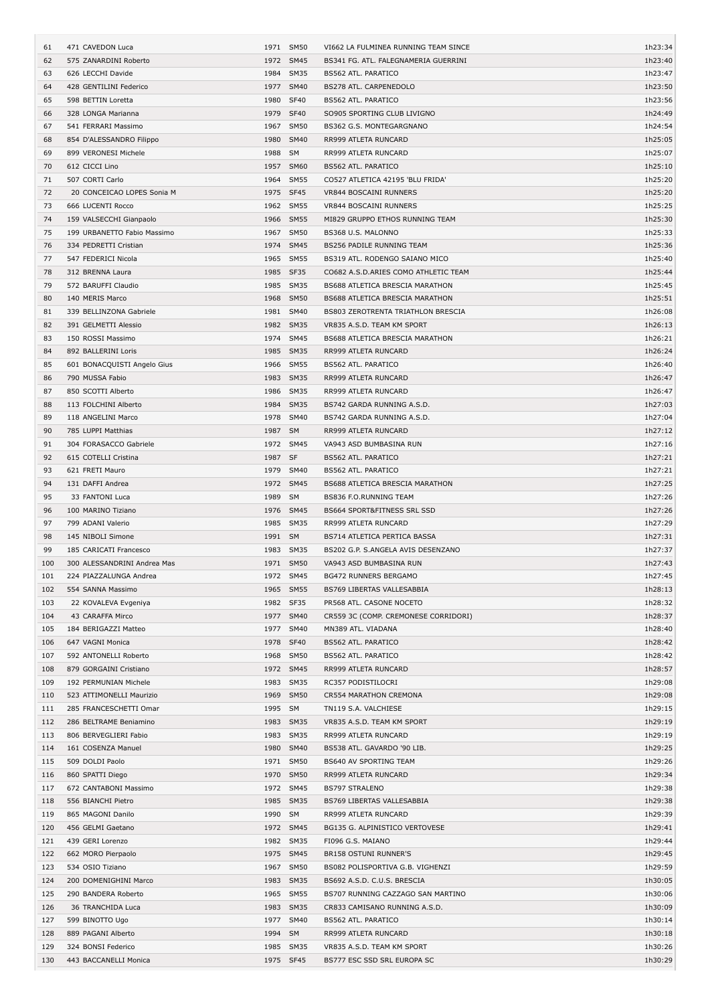| 61         | 471 CAVEDON Luca                            |           | 1971 SM50              | VI662 LA FULMINEA RUNNING TEAM SINCE                      | 1h23:34            |
|------------|---------------------------------------------|-----------|------------------------|-----------------------------------------------------------|--------------------|
| 62         | 575 ZANARDINI Roberto                       |           | 1972 SM45              | BS341 FG. ATL. FALEGNAMERIA GUERRINI                      | 1h23:40            |
| 63         | 626 LECCHI Davide                           | 1984      | <b>SM35</b>            | BS562 ATL. PARATICO                                       | 1h23:47            |
| 64         | 428 GENTILINI Federico                      | 1977      | <b>SM40</b>            | BS278 ATL. CARPENEDOLO                                    | 1h23:50            |
| 65         | 598 BETTIN Loretta                          | 1980      | <b>SF40</b>            | BS562 ATL. PARATICO                                       | 1h23:56            |
| 66         | 328 LONGA Marianna                          | 1979      | <b>SF40</b>            | SO905 SPORTING CLUB LIVIGNO                               | 1h24:49            |
| 67         | 541 FERRARI Massimo                         |           | 1967 SM50              | BS362 G.S. MONTEGARGNANO                                  | 1h24:54            |
| 68         | 854 D'ALESSANDRO Filippo                    | 1980      | <b>SM40</b>            | RR999 ATLETA RUNCARD                                      | 1h25:05            |
| 69         | 899 VERONESI Michele                        | 1988      | SM                     | RR999 ATLETA RUNCARD                                      | 1h25:07            |
| 70         | 612 CICCI Lino                              | 1957      | <b>SM60</b>            | BS562 ATL. PARATICO                                       | 1h25:10            |
| 71         | 507 CORTI Carlo                             | 1964      | <b>SM55</b>            | CO527 ATLETICA 42195 'BLU FRIDA'                          | 1h25:20            |
| 72         | 20 CONCEICAO LOPES Sonia M                  |           | 1975 SF45              | VR844 BOSCAINI RUNNERS                                    | 1h25:20            |
| 73         | 666 LUCENTI Rocco                           |           | 1962 SM55              | <b>VR844 BOSCAINI RUNNERS</b>                             | 1h25:25            |
| 74         | 159 VALSECCHI Gianpaolo                     |           | 1966 SM55              | MI829 GRUPPO ETHOS RUNNING TEAM                           | 1h25:30            |
| 75         | 199 URBANETTO Fabio Massimo                 |           | 1967 SM50              | BS368 U.S. MALONNO                                        | 1h25:33            |
| 76         | 334 PEDRETTI Cristian                       |           | 1974 SM45              | BS256 PADILE RUNNING TEAM                                 | 1h25:36            |
| 77         | 547 FEDERICI Nicola                         | 1965      | <b>SM55</b>            | BS319 ATL. RODENGO SAIANO MICO                            | 1h25:40            |
| 78         | 312 BRENNA Laura                            |           | 1985 SF35              | CO682 A.S.D.ARIES COMO ATHLETIC TEAM                      | 1h25:44            |
| 79         | 572 BARUFFI Claudio                         |           | 1985 SM35              | BS688 ATLETICA BRESCIA MARATHON                           | 1h25:45            |
| 80         | 140 MERIS Marco                             | 1968      | <b>SM50</b>            | BS688 ATLETICA BRESCIA MARATHON                           | 1h25:51            |
| 81         | 339 BELLINZONA Gabriele                     | 1981      | <b>SM40</b>            | BS803 ZEROTRENTA TRIATHLON BRESCIA                        | 1h26:08            |
| 82         | 391 GELMETTI Alessio                        |           | 1982 SM35              | VR835 A.S.D. TEAM KM SPORT                                | 1h26:13            |
| 83         | 150 ROSSI Massimo                           |           | 1974 SM45              | BS688 ATLETICA BRESCIA MARATHON                           | 1h26:21            |
| 84         | 892 BALLERINI Loris                         | 1985      | SM35                   | RR999 ATLETA RUNCARD                                      | 1h26:24            |
| 85         | 601 BONACQUISTI Angelo Gius                 | 1966      | <b>SM55</b>            | BS562 ATL. PARATICO                                       | 1h26:40            |
| 86         | 790 MUSSA Fabio                             |           | 1983 SM35              | RR999 ATLETA RUNCARD                                      | 1h26:47            |
| 87         | 850 SCOTTI Alberto                          |           | 1986 SM35              | RR999 ATLETA RUNCARD                                      | 1h26:47            |
| 88         | 113 FOLCHINI Alberto                        | 1984      | SM35                   | BS742 GARDA RUNNING A.S.D.                                | 1h27:03            |
| 89         | 118 ANGELINI Marco                          | 1978      | SM40                   | BS742 GARDA RUNNING A.S.D.                                | 1h27:04            |
| 90         | 785 LUPPI Matthias                          | 1987      | <b>SM</b>              | RR999 ATLETA RUNCARD                                      | 1h27:12            |
| 91         | 304 FORASACCO Gabriele                      | 1972      | SM45                   | VA943 ASD BUMBASINA RUN                                   | 1h27:16            |
| 92         | 615 COTELLI Cristina                        | 1987 SF   |                        | BS562 ATL. PARATICO                                       | 1h27:21            |
| 93         | 621 FRETI Mauro                             |           | 1979 SM40              | BS562 ATL. PARATICO                                       | 1h27:21            |
| 94         | 131 DAFFI Andrea                            |           | 1972 SM45              | BS688 ATLETICA BRESCIA MARATHON                           | 1h27:25            |
| 95         | 33 FANTONI Luca                             | 1989      | SM                     | BS836 F.O.RUNNING TEAM                                    | 1h27:26            |
| 96         | 100 MARINO Tiziano                          | 1976      | SM45                   | BS664 SPORT&FITNESS SRL SSD                               | 1h27:26            |
| 97         | 799 ADANI Valerio                           | 1985      | SM35                   | RR999 ATLETA RUNCARD                                      | 1h27:29            |
| 98         | 145 NIBOLI Simone                           | 1991 SM   |                        | BS714 ATLETICA PERTICA BASSA                              | 1h27:31            |
| 99         | 185 CARICATI Francesco                      |           | 1983 SM35              | BS202 G.P. S.ANGELA AVIS DESENZANO                        | 1h27:37            |
| 100        | 300 ALESSANDRINI Andrea Mas                 |           | 1971 SM50              | VA943 ASD BUMBASINA RUN                                   | 1h27:43            |
| 101        | 224 PIAZZALUNGA Andrea                      |           | 1972 SM45              | BG472 RUNNERS BERGAMO                                     | 1h27:45            |
| 102        | 554 SANNA Massimo                           |           | 1965 SM55              | BS769 LIBERTAS VALLESABBIA                                | 1h28:13            |
| 103        | 22 KOVALEVA Evgeniya                        |           | 1982 SF35              | PR568 ATL. CASONE NOCETO                                  | 1h28:32            |
| 104        | 43 CARAFFA Mirco                            |           | 1977 SM40              | CR559 3C (COMP. CREMONESE CORRIDORI)                      | 1h28:37            |
| 105        | 184 BERIGAZZI Matteo                        |           | 1977 SM40              | MN389 ATL. VIADANA                                        | 1h28:40            |
| 106        | 647 VAGNI Monica                            |           | 1978 SF40              | BS562 ATL. PARATICO                                       | 1h28:42            |
| 107        | 592 ANTONELLI Roberto                       |           | 1968 SM50              | BS562 ATL. PARATICO                                       | 1h28:42            |
| 108        | 879 GORGAINI Cristiano                      |           | 1972 SM45              | RR999 ATLETA RUNCARD                                      | 1h28:57            |
| 109        | 192 PERMUNIAN Michele                       |           | 1983 SM35              | RC357 PODISTILOCRI                                        | 1h29:08            |
| 110        | 523 ATTIMONELLI Maurizio                    | 1969      | <b>SM50</b>            | CR554 MARATHON CREMONA                                    | 1h29:08            |
| 111        | 285 FRANCESCHETTI Omar                      | 1995      | SM                     | TN119 S.A. VALCHIESE                                      | 1h29:15            |
| 112        | 286 BELTRAME Beniamino                      |           | 1983 SM35              | VR835 A.S.D. TEAM KM SPORT                                | 1h29:19            |
| 113        | 806 BERVEGLIERI Fabio                       |           | 1983 SM35              | RR999 ATLETA RUNCARD                                      | 1h29:19            |
| 114        | 161 COSENZA Manuel                          |           | 1980 SM40              | BS538 ATL. GAVARDO '90 LIB.                               | 1h29:25            |
| 115        | 509 DOLDI Paolo                             |           | 1971 SM50              | BS640 AV SPORTING TEAM                                    | 1h29:26            |
| 116        | 860 SPATTI Diego                            |           | 1970 SM50              | RR999 ATLETA RUNCARD                                      | 1h29:34            |
| 117        | 672 CANTABONI Massimo                       |           | 1972 SM45              | <b>BS797 STRALENO</b>                                     | 1h29:38            |
| 118        | 556 BIANCHI Pietro                          |           | 1985 SM35              | BS769 LIBERTAS VALLESABBIA                                | 1h29:38            |
| 119        | 865 MAGONI Danilo                           | 1990 SM   |                        | RR999 ATLETA RUNCARD                                      | 1h29:39            |
| 120        | 456 GELMI Gaetano                           |           | 1972 SM45              | BG135 G. ALPINISTICO VERTOVESE                            | 1h29:41            |
| 121        | 439 GERI Lorenzo                            |           | 1982 SM35              | FI096 G.S. MAIANO                                         | 1h29:44            |
| 122        |                                             |           |                        | BR158 OSTUNI RUNNER'S                                     | 1h29:45            |
|            | 662 MORO Pierpaolo                          | 1975 SM45 |                        |                                                           |                    |
| 123        | 534 OSIO Tiziano                            |           | 1967 SM50              | BS082 POLISPORTIVA G.B. VIGHENZI                          | 1h29:59            |
| 124        | 200 DOMENIGHINI Marco                       | 1983      | SM35                   | BS692 A.S.D. C.U.S. BRESCIA                               | 1h30:05            |
| 125        | 290 BANDERA Roberto                         |           | 1965 SM55              | BS707 RUNNING CAZZAGO SAN MARTINO                         | 1h30:06            |
| 126        | 36 TRANCHIDA Luca                           |           | 1983 SM35              | CR833 CAMISANO RUNNING A.S.D.                             | 1h30:09            |
| 127        | 599 BINOTTO Ugo                             |           | 1977 SM40              | BS562 ATL. PARATICO                                       | 1h30:14            |
| 128        | 889 PAGANI Alberto                          | 1994 SM   |                        | RR999 ATLETA RUNCARD                                      | 1h30:18            |
| 129<br>130 | 324 BONSI Federico<br>443 BACCANELLI Monica |           | 1985 SM35<br>1975 SF45 | VR835 A.S.D. TEAM KM SPORT<br>BS777 ESC SSD SRL EUROPA SC | 1h30:26<br>1h30:29 |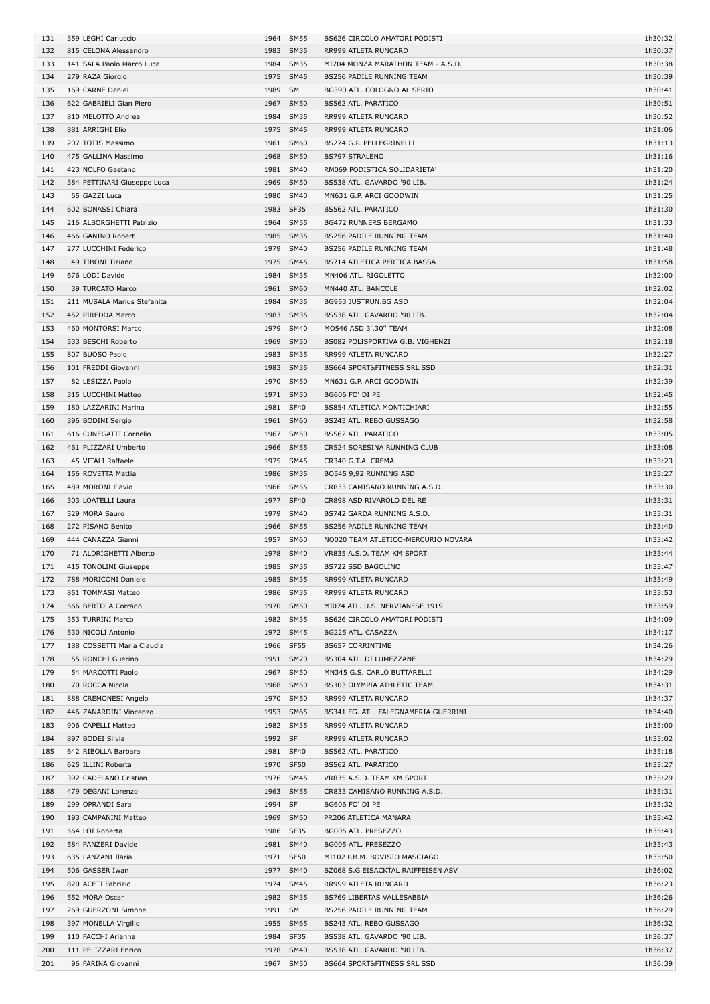| 131 | 359 LEGHI Carluccio         |         | 1964 SM55   | BS626 CIRCOLO AMATORI PODISTI        | 1h30:32 |
|-----|-----------------------------|---------|-------------|--------------------------------------|---------|
| 132 | 815 CELONA Alessandro       |         | 1983 SM35   | RR999 ATLETA RUNCARD                 | 1h30:37 |
| 133 | 141 SALA Paolo Marco Luca   | 1984    | <b>SM35</b> | MI704 MONZA MARATHON TEAM - A.S.D.   | 1h30:38 |
|     |                             |         |             |                                      |         |
| 134 | 279 RAZA Giorgio            |         | 1975 SM45   | BS256 PADILE RUNNING TEAM            | 1h30:39 |
| 135 | 169 CARNE Daniel            | 1989 SM |             | BG390 ATL. COLOGNO AL SERIO          | 1h30:41 |
| 136 | 622 GABRIELI Gian Piero     | 1967    | <b>SM50</b> | BS562 ATL. PARATICO                  | 1h30:51 |
| 137 | 810 MELOTTO Andrea          | 1984    | <b>SM35</b> | RR999 ATLETA RUNCARD                 | 1h30:52 |
| 138 | 881 ARRIGHI Elio            |         | 1975 SM45   | RR999 ATLETA RUNCARD                 | 1h31:06 |
| 139 | 207 TOTIS Massimo           |         | 1961 SM60   | BS274 G.P. PELLEGRINELLI             | 1h31:13 |
|     |                             |         |             |                                      |         |
| 140 | 475 GALLINA Massimo         |         | 1968 SM50   | <b>BS797 STRALENO</b>                | 1h31:16 |
| 141 | 423 NOLFO Gaetano           |         | 1981 SM40   | RM069 PODISTICA SOLIDARIETA'         | 1h31:20 |
| 142 | 384 PETTINARI Giuseppe Luca |         | 1969 SM50   | BS538 ATL. GAVARDO '90 LIB.          | 1h31:24 |
| 143 | 65 GAZZI Luca               | 1980    | <b>SM40</b> | MN631 G.P. ARCI GOODWIN              | 1h31:25 |
| 144 | 602 BONASSI Chiara          | 1983    | SF35        | <b>BS562 ATL. PARATICO</b>           | 1h31:30 |
|     |                             |         |             |                                      |         |
| 145 | 216 ALBORGHETTI Patrizio    | 1964    | <b>SM55</b> | <b>BG472 RUNNERS BERGAMO</b>         | 1h31:33 |
| 146 | 466 GANINO Robert           |         | 1985 SM35   | BS256 PADILE RUNNING TEAM            | 1h31:40 |
| 147 | 277 LUCCHINI Federico       |         | 1979 SM40   | BS256 PADILE RUNNING TEAM            | 1h31:48 |
| 148 | 49 TIBONI Tiziano           |         | 1975 SM45   | BS714 ATLETICA PERTICA BASSA         | 1h31:58 |
| 149 | 676 LODI Davide             | 1984    | <b>SM35</b> | MN406 ATL. RIGOLETTO                 | 1h32:00 |
|     |                             |         |             |                                      |         |
| 150 | 39 TURCATO Marco            | 1961    | <b>SM60</b> | MN440 ATL. BANCOLE                   | 1h32:02 |
| 151 | 211 MUSALA Marius Stefanita | 1984    | <b>SM35</b> | BG953 JUSTRUN.BG ASD                 | 1h32:04 |
| 152 | 452 PIREDDA Marco           |         | 1983 SM35   | BS538 ATL. GAVARDO '90 LIB.          | 1h32:04 |
| 153 | 460 MONTORSI Marco          |         | 1979 SM40   | MO546 ASD 3'.30" TEAM                | 1h32:08 |
|     |                             |         |             |                                      |         |
| 154 | 533 BESCHI Roberto          |         | 1969 SM50   | BS082 POLISPORTIVA G.B. VIGHENZI     | 1h32:18 |
| 155 | 807 BUOSO Paolo             |         | 1983 SM35   | RR999 ATLETA RUNCARD                 | 1h32:27 |
| 156 | 101 FREDDI Giovanni         | 1983    | <b>SM35</b> | BS664 SPORT&FITNESS SRL SSD          | 1h32:31 |
| 157 | 82 LESIZZA Paolo            | 1970    | <b>SM50</b> | MN631 G.P. ARCI GOODWIN              | 1h32:39 |
| 158 | 315 LUCCHINI Matteo         | 1971    | <b>SM50</b> | BG606 FO' DI PE                      | 1h32:45 |
|     |                             |         |             |                                      |         |
| 159 | 180 LAZZARINI Marina        |         | 1981 SF40   | <b>BS854 ATLETICA MONTICHIARI</b>    | 1h32:55 |
| 160 | 396 BODINI Sergio           |         | 1961 SM60   | BS243 ATL. REBO GUSSAGO              | 1h32:58 |
| 161 | 616 CUNEGATTI Cornelio      |         | 1967 SM50   | BS562 ATL. PARATICO                  | 1h33:05 |
| 162 | 461 PLIZZARI Umberto        |         | 1966 SM55   | CR524 SORESINA RUNNING CLUB          | 1h33:08 |
| 163 | 45 VITALI Raffaele          |         | 1975 SM45   | CR340 G.T.A. CREMA                   | 1h33:23 |
|     |                             |         |             |                                      |         |
| 164 | 156 ROVETTA Mattia          | 1986    | <b>SM35</b> | BO545 9,92 RUNNING ASD               | 1h33:27 |
| 165 | 489 MORONI Flavio           |         | 1966 SM55   | CR833 CAMISANO RUNNING A.S.D.        | 1h33:30 |
|     |                             |         |             |                                      |         |
| 166 | 303 LOATELLI Laura          |         | 1977 SF40   | CR898 ASD RIVAROLO DEL RE            | 1h33:31 |
|     |                             |         |             |                                      |         |
| 167 | 529 MORA Sauro              |         | 1979 SM40   | BS742 GARDA RUNNING A.S.D.           | 1h33:31 |
| 168 | 272 PISANO Benito           |         | 1966 SM55   | BS256 PADILE RUNNING TEAM            | 1h33:40 |
| 169 | 444 CANAZZA Gianni          |         | 1957 SM60   | NO020 TEAM ATLETICO-MERCURIO NOVARA  | 1h33:42 |
| 170 | 71 ALDRIGHETTI Alberto      |         | 1978 SM40   | VR835 A.S.D. TEAM KM SPORT           | 1h33:44 |
| 171 | 415 TONOLINI Giuseppe       |         | 1985 SM35   | BS722 SSD BAGOLINO                   | 1h33:47 |
|     |                             |         |             | RR999 ATLETA RUNCARD                 | 1h33:49 |
| 172 | 788 MORICONI Daniele        |         | 1985 SM35   |                                      |         |
| 173 | 851 TOMMASI Matteo          |         | 1986 SM35   | RR999 ATLETA RUNCARD                 | 1h33:53 |
| 174 | 566 BERTOLA Corrado         |         | 1970 SM50   | MI074 ATL. U.S. NERVIANESE 1919      | 1h33:59 |
| 175 | 353 TURRINI Marco           |         | 1982 SM35   | BS626 CIRCOLO AMATORI PODISTI        | 1h34:09 |
| 176 | 530 NICOLI Antonio          |         | 1972 SM45   | BG225 ATL. CASAZZA                   | 1h34:17 |
|     | 188 COSSETTI Maria Claudia  |         | 1966 SF55   | <b>BS657 CORRINTIME</b>              | 1h34:26 |
| 177 |                             |         |             |                                      |         |
| 178 | 55 RONCHI Guerino           |         | 1951 SM70   | BS304 ATL. DI LUMEZZANE              | 1h34:29 |
| 179 | 54 MARCOTTI Paolo           |         | 1967 SM50   | MN345 G.S. CARLO BUTTARELLI          | 1h34:29 |
| 180 | 70 ROCCA Nicola             |         | 1968 SM50   | BS303 OLYMPIA ATHLETIC TEAM          | 1h34:31 |
| 181 | 888 CREMONESI Angelo        |         | 1970 SM50   | RR999 ATLETA RUNCARD                 | 1h34:37 |
|     | 446 ZANARDINI Vincenzo      |         |             |                                      | 1h34:40 |
| 182 |                             |         | 1953 SM65   | BS341 FG. ATL. FALEGNAMERIA GUERRINI |         |
| 183 | 906 CAPELLI Matteo          |         | 1982 SM35   | RR999 ATLETA RUNCARD                 | 1h35:00 |
| 184 | 897 BODEI Silvia            | 1992 SF |             | RR999 ATLETA RUNCARD                 | 1h35:02 |
| 185 | 642 RIBOLLA Barbara         |         | 1981 SF40   | BS562 ATL. PARATICO                  | 1h35:18 |
| 186 | 625 ILLINI Roberta          |         | 1970 SF50   | BS562 ATL. PARATICO                  | 1h35:27 |
|     |                             |         |             |                                      |         |
| 187 | 392 CADELANO Cristian       |         | 1976 SM45   | VR835 A.S.D. TEAM KM SPORT           | 1h35:29 |
| 188 | 479 DEGANI Lorenzo          |         | 1963 SM55   | CR833 CAMISANO RUNNING A.S.D.        | 1h35:31 |
| 189 | 299 OPRANDI Sara            | 1994 SF |             | BG606 FO' DI PE                      | 1h35:32 |
| 190 | 193 CAMPANINI Matteo        |         | 1969 SM50   | PR206 ATLETICA MANARA                | 1h35:42 |
| 191 | 564 LOI Roberta             |         | 1986 SF35   | BG005 ATL. PRESEZZO                  | 1h35:43 |
|     |                             |         |             |                                      |         |
| 192 | 584 PANZERI Davide          |         | 1981 SM40   | BG005 ATL. PRESEZZO                  | 1h35:43 |
| 193 | 635 LANZANI Ilaria          |         | 1971 SF50   | MI102 P.B.M. BOVISIO MASCIAGO        | 1h35:50 |
| 194 | 506 GASSER Iwan             |         | 1977 SM40   | BZ068 S.G EISACKTAL RAIFFEISEN ASV   | 1h36:02 |
| 195 | 820 ACETI Fabrizio          |         | 1974 SM45   | RR999 ATLETA RUNCARD                 | 1h36:23 |
| 196 | 552 MORA Oscar              |         | 1982 SM35   | BS769 LIBERTAS VALLESABBIA           | 1h36:26 |
|     |                             |         |             |                                      |         |
| 197 | 269 GUERZONI Simone         | 1991 SM |             | BS256 PADILE RUNNING TEAM            | 1h36:29 |
| 198 | 397 MONELLA Virgilio        |         | 1955 SM65   | BS243 ATL. REBO GUSSAGO              | 1h36:32 |
| 199 | 110 FACCHI Arianna          |         | 1984 SF35   | BS538 ATL. GAVARDO '90 LIB.          | 1h36:37 |
| 200 | 111 PELIZZARI Enrico        |         | 1978 SM40   | BS538 ATL. GAVARDO '90 LIB.          | 1h36:37 |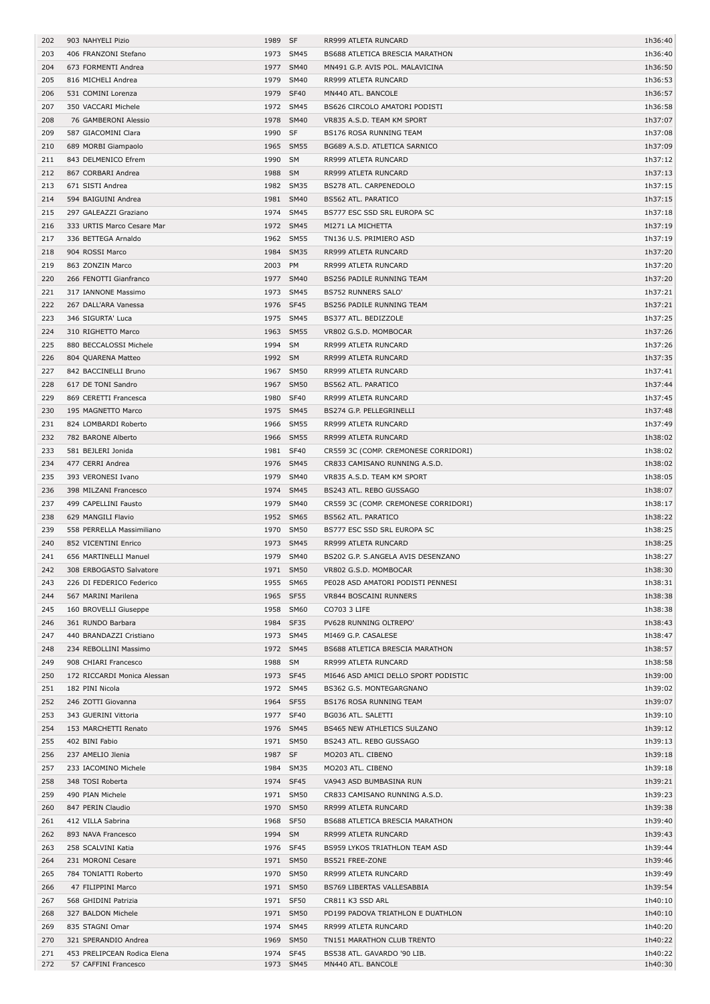| 202        | 903 NAHYELI Pizio                                   | 1989      | SF                | RR999 ATLETA RUNCARD                                      | 1h36:40            |
|------------|-----------------------------------------------------|-----------|-------------------|-----------------------------------------------------------|--------------------|
| 203        | 406 FRANZONI Stefano                                |           | 1973 SM45         | <b>BS688 ATLETICA BRESCIA MARATHON</b>                    | 1h36:40            |
| 204        | 673 FORMENTI Andrea                                 |           | 1977 SM40         | MN491 G.P. AVIS POL. MALAVICINA                           | 1h36:50            |
| 205        | 816 MICHELI Andrea                                  | 1979      | <b>SM40</b>       | RR999 ATLETA RUNCARD                                      | 1h36:53            |
| 206        | 531 COMINI Lorenza                                  | 1979      | <b>SF40</b>       | MN440 ATL. BANCOLE                                        | 1h36:57            |
| 207        | 350 VACCARI Michele                                 |           | 1972 SM45         | BS626 CIRCOLO AMATORI PODISTI                             | 1h36:58            |
| 208        | 76 GAMBERONI Alessio                                | 1978      | <b>SM40</b>       | VR835 A.S.D. TEAM KM SPORT                                | 1h37:07            |
| 209        | 587 GIACOMINI Clara                                 | 1990      | <b>SF</b>         | BS176 ROSA RUNNING TEAM                                   | 1h37:08            |
| 210        | 689 MORBI Giampaolo                                 |           | 1965 SM55         | BG689 A.S.D. ATLETICA SARNICO                             | 1h37:09            |
| 211        | 843 DELMENICO Efrem                                 | 1990      | SM                | RR999 ATLETA RUNCARD                                      | 1h37:12            |
| 212        | 867 CORBARI Andrea                                  | 1988 SM   |                   | RR999 ATLETA RUNCARD                                      | 1h37:13            |
| 213        | 671 SISTI Andrea                                    |           | 1982 SM35         | BS278 ATL. CARPENEDOLO                                    | 1h37:15            |
| 214        | 594 BAIGUINI Andrea                                 |           | 1981 SM40         | BS562 ATL. PARATICO                                       | 1h37:15            |
| 215        | 297 GALEAZZI Graziano                               | 1974      | <b>SM45</b>       | BS777 ESC SSD SRL EUROPA SC                               | 1h37:18            |
| 216        | 333 URTIS Marco Cesare Mar                          |           | 1972 SM45         | MI271 LA MICHETTA                                         | 1h37:19            |
| 217        | 336 BETTEGA Arnaldo                                 |           | 1962 SM55         | TN136 U.S. PRIMIERO ASD                                   | 1h37:19            |
| 218        | 904 ROSSI Marco                                     | 1984      | <b>SM35</b>       | RR999 ATLETA RUNCARD                                      | 1h37:20            |
| 219        | 863 ZONZIN Marco                                    | 2003 PM   |                   | RR999 ATLETA RUNCARD                                      | 1h37:20            |
| 220        | 266 FENOTTI Gianfranco                              |           | 1977 SM40         | BS256 PADILE RUNNING TEAM                                 | 1h37:20            |
| 221        | 317 IANNONE Massimo                                 |           | 1973 SM45         | <b>BS752 RUNNERS SALO'</b>                                | 1h37:21            |
| 222        | 267 DALL'ARA Vanessa                                | 1976      | SF45              | BS256 PADILE RUNNING TEAM                                 | 1h37:21            |
| 223        | 346 SIGURTA' Luca                                   | 1975      | <b>SM45</b>       | BS377 ATL. BEDIZZOLE                                      | 1h37:25            |
| 224        | 310 RIGHETTO Marco                                  |           | 1963 SM55         | VR802 G.S.D. MOMBOCAR                                     | 1h37:26            |
| 225        | 880 BECCALOSSI Michele                              | 1994 SM   |                   | RR999 ATLETA RUNCARD                                      | 1h37:26            |
|            |                                                     |           |                   |                                                           |                    |
| 226        | 804 QUARENA Matteo                                  | 1992 SM   |                   | RR999 ATLETA RUNCARD                                      | 1h37:35            |
| 227        | 842 BACCINELLI Bruno                                |           | 1967 SM50         | RR999 ATLETA RUNCARD                                      | 1h37:41            |
| 228        | 617 DE TONI Sandro                                  | 1967      | <b>SM50</b>       | BS562 ATL. PARATICO                                       | 1h37:44            |
| 229        | 869 CERETTI Francesca                               | 1980      | <b>SF40</b>       | RR999 ATLETA RUNCARD                                      | 1h37:45            |
| 230        | 195 MAGNETTO Marco                                  | 1975      | <b>SM45</b>       | BS274 G.P. PELLEGRINELLI                                  | 1h37:48            |
| 231        | 824 LOMBARDI Roberto                                | 1966      | <b>SM55</b>       | RR999 ATLETA RUNCARD                                      | 1h37:49            |
| 232        | 782 BARONE Alberto                                  | 1966      | <b>SM55</b>       | RR999 ATLETA RUNCARD                                      | 1h38:02            |
| 233        | 581 BEJLERI Jonida                                  | 1981      | <b>SF40</b>       | CR559 3C (COMP. CREMONESE CORRIDORI)                      | 1h38:02            |
| 234        | 477 CERRI Andrea                                    |           | 1976 SM45         | CR833 CAMISANO RUNNING A.S.D.                             | 1h38:02            |
| 235        | 393 VERONESI Ivano                                  | 1979      | <b>SM40</b>       | VR835 A.S.D. TEAM KM SPORT                                | 1h38:05            |
| 236        | 398 MILZANI Francesco                               | 1974      | <b>SM45</b>       | BS243 ATL. REBO GUSSAGO                                   | 1h38:07            |
| 237        | 499 CAPELLINI Fausto                                | 1979      | <b>SM40</b>       | CR559 3C (COMP. CREMONESE CORRIDORI)                      | 1h38:17            |
| 238        | 629 MANGILI Flavio                                  |           | 1952 SM65         | <b>BS562 ATL. PARATICO</b>                                | 1h38:22            |
|            |                                                     |           |                   |                                                           | 1h38:25            |
| 239        | 558 PERRELLA Massimiliano                           | 1970 SM50 |                   | BS777 ESC SSD SRL EUROPA SC                               |                    |
| 240        | 852 VICENTINI Enrico                                |           | 1973 SM45         | RR999 ATLETA RUNCARD                                      | 1h38:25            |
| 241        | 656 MARTINELLI Manuel                               |           | 1979 SM40         | BS202 G.P. S.ANGELA AVIS DESENZANO                        | 1h38:27            |
| 242        | 308 ERBOGASTO Salvatore                             |           | 1971 SM50         | VR802 G.S.D. MOMBOCAR                                     | 1h38:30            |
| 243        | 226 DI FEDERICO Federico                            |           | 1955 SM65         | PE028 ASD AMATORI PODISTI PENNESI                         | 1h38:31            |
| 244        | 567 MARINI Marilena                                 | 1965 SF55 |                   | VR844 BOSCAINI RUNNERS                                    | 1h38:38            |
| 245        | 160 BROVELLI Giuseppe                               |           | 1958 SM60         | CO703 3 LIFE                                              | 1h38:38            |
| 246        | 361 RUNDO Barbara                                   | 1984 SF35 |                   | PV628 RUNNING OLTREPO'                                    | 1h38:43            |
| 247        | 440 BRANDAZZI Cristiano                             |           | 1973 SM45         | MI469 G.P. CASALESE                                       | 1h38:47            |
| 248        | 234 REBOLLINI Massimo                               |           | 1972 SM45         | BS688 ATLETICA BRESCIA MARATHON                           | 1h38:57            |
| 249        | 908 CHIARI Francesco                                | 1988 SM   |                   | RR999 ATLETA RUNCARD                                      | 1h38:58            |
| 250        | 172 RICCARDI Monica Alessan                         | 1973 SF45 |                   | MI646 ASD AMICI DELLO SPORT PODISTIC                      | 1h39:00            |
| 251        | 182 PINI Nicola                                     |           | 1972 SM45         | BS362 G.S. MONTEGARGNANO                                  | 1h39:02            |
| 252        | 246 ZOTTI Giovanna                                  | 1964 SF55 |                   | BS176 ROSA RUNNING TEAM                                   | 1h39:07            |
| 253        | 343 GUERINI Vittoria                                | 1977      | <b>SF40</b>       | BG036 ATL. SALETTI                                        | 1h39:10            |
| 254        | 153 MARCHETTI Renato                                |           | 1976 SM45         | BS465 NEW ATHLETICS SULZANO                               | 1h39:12            |
| 255        | 402 BINI Fabio                                      |           | 1971 SM50         | BS243 ATL. REBO GUSSAGO                                   | 1h39:13            |
| 256        | 237 AMELIO Jlenia                                   | 1987 SF   |                   | MO203 ATL. CIBENO                                         | 1h39:18            |
| 257        | 233 IACOMINO Michele                                |           | 1984 SM35         | MO203 ATL. CIBENO                                         | 1h39:18            |
| 258        | 348 TOSI Roberta                                    | 1974 SF45 |                   | VA943 ASD BUMBASINA RUN                                   | 1h39:21            |
| 259        | 490 PIAN Michele                                    |           | 1971 SM50         | CR833 CAMISANO RUNNING A.S.D.                             | 1h39:23            |
| 260        | 847 PERIN Claudio                                   |           | 1970 SM50         | RR999 ATLETA RUNCARD                                      | 1h39:38            |
| 261        | 412 VILLA Sabrina                                   | 1968 SF50 |                   | BS688 ATLETICA BRESCIA MARATHON                           | 1h39:40            |
| 262        | 893 NAVA Francesco                                  | 1994 SM   |                   | RR999 ATLETA RUNCARD                                      | 1h39:43            |
| 263        | 258 SCALVINI Katia                                  | 1976 SF45 |                   | BS959 LYKOS TRIATHLON TEAM ASD                            | 1h39:44            |
| 264        | 231 MORONI Cesare                                   |           | 1971 SM50         | BS521 FREE-ZONE                                           | 1h39:46            |
| 265        | 784 TONIATTI Roberto                                |           | 1970 SM50         | RR999 ATLETA RUNCARD                                      | 1h39:49            |
| 266        | 47 FILIPPINI Marco                                  |           | 1971 SM50         | BS769 LIBERTAS VALLESABBIA                                | 1h39:54            |
| 267        | 568 GHIDINI Patrizia                                | 1971 SF50 |                   | CR811 K3 SSD ARL                                          | 1h40:10            |
| 268        |                                                     |           |                   |                                                           |                    |
|            | 327 BALDON Michele                                  | 1974      | 1971 SM50<br>SM45 | PD199 PADOVA TRIATHLON E DUATHLON                         | 1h40:10            |
| 269        | 835 STAGNI Omar                                     |           |                   | RR999 ATLETA RUNCARD                                      | 1h40:20            |
| 270<br>271 | 321 SPERANDIO Andrea<br>453 PRELIPCEAN Rodica Elena | 1974 SF45 | 1969 SM50         | TN151 MARATHON CLUB TRENTO<br>BS538 ATL. GAVARDO '90 LIB. | 1h40:22<br>1h40:22 |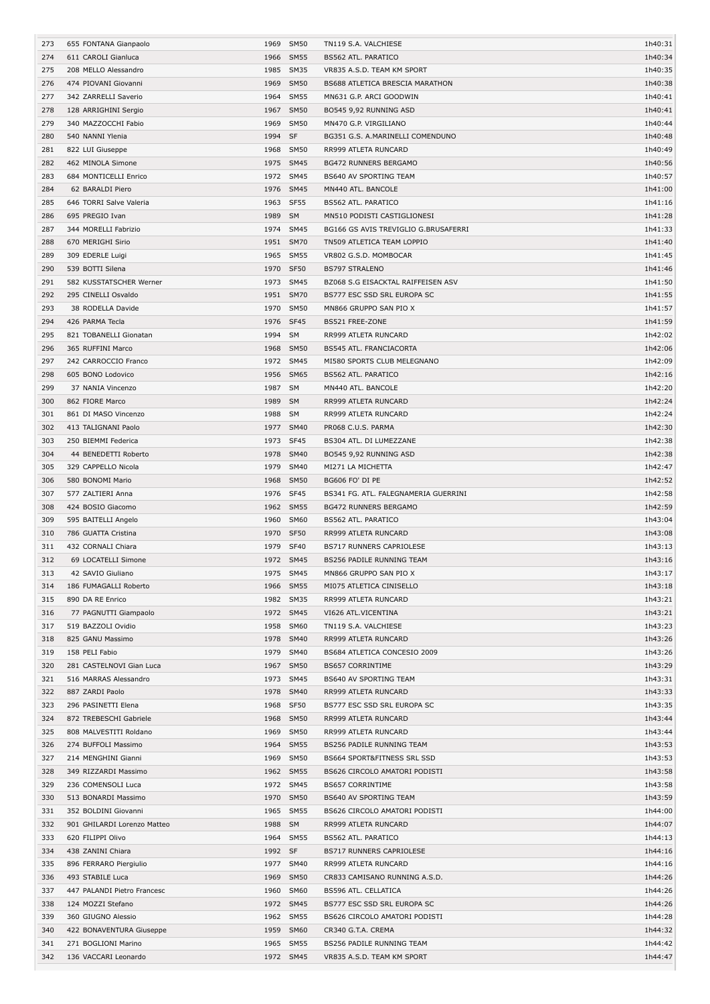| 273 | 655 FONTANA Gianpaolo       | 1969         | <b>SM50</b>         | TN119 S.A. VALCHIESE                 | 1h40:31 |
|-----|-----------------------------|--------------|---------------------|--------------------------------------|---------|
| 274 | 611 CAROLI Gianluca         | 1966         | <b>SM55</b>         | <b>BS562 ATL. PARATICO</b>           | 1h40:34 |
| 275 | 208 MELLO Alessandro        | 1985         | <b>SM35</b>         | VR835 A.S.D. TEAM KM SPORT           | 1h40:35 |
| 276 | 474 PIOVANI Giovanni        | 1969         | <b>SM50</b>         | BS688 ATLETICA BRESCIA MARATHON      | 1h40:38 |
| 277 | 342 ZARRELLI Saverio        | 1964         | <b>SM55</b>         | MN631 G.P. ARCI GOODWIN              | 1h40:41 |
| 278 | 128 ARRIGHINI Sergio        | 1967         | <b>SM50</b>         | BO545 9,92 RUNNING ASD               | 1h40:41 |
| 279 | 340 MAZZOCCHI Fabio         | 1969         | <b>SM50</b>         | MN470 G.P. VIRGILIANO                | 1h40:44 |
| 280 | 540 NANNI Ylenia            | 1994         | <b>SF</b>           | BG351 G.S. A.MARINELLI COMENDUNO     | 1h40:48 |
| 281 | 822 LUI Giuseppe            | 1968         | <b>SM50</b>         | RR999 ATLETA RUNCARD                 | 1h40:49 |
| 282 | 462 MINOLA Simone           | 1975         | <b>SM45</b>         | <b>BG472 RUNNERS BERGAMO</b>         | 1h40:56 |
| 283 | 684 MONTICELLI Enrico       |              | 1972 SM45           | BS640 AV SPORTING TEAM               | 1h40:57 |
| 284 | 62 BARALDI Piero            | 1976         | <b>SM45</b>         | MN440 ATL. BANCOLE                   | 1h41:00 |
| 285 | 646 TORRI Salve Valeria     | 1963 SF55    |                     | BS562 ATL. PARATICO                  | 1h41:16 |
| 286 | 695 PREGIO Ivan             | 1989 SM      |                     | MN510 PODISTI CASTIGLIONESI          | 1h41:28 |
| 287 | 344 MORELLI Fabrizio        | 1974         | <b>SM45</b>         | BG166 GS AVIS TREVIGLIO G.BRUSAFERRI | 1h41:33 |
| 288 | 670 MERIGHI Sirio           | 1951         | <b>SM70</b>         | TN509 ATLETICA TEAM LOPPIO           | 1h41:40 |
| 289 | 309 EDERLE Luigi            | 1965         | <b>SM55</b>         | VR802 G.S.D. MOMBOCAR                | 1h41:45 |
| 290 | 539 BOTTI Silena            | 1970         | <b>SF50</b>         | <b>BS797 STRALENO</b>                | 1h41:46 |
| 291 | 582 KUSSTATSCHER Werner     | 1973         | <b>SM45</b>         | BZ068 S.G EISACKTAL RAIFFEISEN ASV   | 1h41:50 |
| 292 | 295 CINELLI Osvaldo         | 1951         | <b>SM70</b>         | BS777 ESC SSD SRL EUROPA SC          | 1h41:55 |
| 293 | 38 RODELLA Davide           | 1970         | <b>SM50</b>         | MN866 GRUPPO SAN PIO X               | 1h41:57 |
| 294 | 426 PARMA Tecla             | 1976         | SF45                | BS521 FREE-ZONE                      | 1h41:59 |
| 295 | 821 TOBANELLI Gionatan      | 1994         | SM                  | RR999 ATLETA RUNCARD                 | 1h42:02 |
| 296 | 365 RUFFINI Marco           | 1968         | <b>SM50</b>         | BS545 ATL. FRANCIACORTA              | 1h42:06 |
| 297 | 242 CARROCCIO Franco        |              | 1972 SM45           | MI580 SPORTS CLUB MELEGNANO          | 1h42:09 |
| 298 | 605 BONO Lodovico           | 1956         | <b>SM65</b>         | <b>BS562 ATL. PARATICO</b>           | 1h42:16 |
| 299 | 37 NANIA Vincenzo           | 1987 SM      |                     | MN440 ATL. BANCOLE                   | 1h42:20 |
| 300 | 862 FIORE Marco             | 1989         | <b>SM</b>           | RR999 ATLETA RUNCARD                 | 1h42:24 |
|     |                             | 1988         | <b>SM</b>           |                                      | 1h42:24 |
| 301 | 861 DI MASO Vincenzo        |              |                     | RR999 ATLETA RUNCARD                 |         |
| 302 | 413 TALIGNANI Paolo         | 1977<br>1973 | <b>SM40</b><br>SF45 | PR068 C.U.S. PARMA                   | 1h42:30 |
| 303 | 250 BIEMMI Federica         |              |                     | BS304 ATL. DI LUMEZZANE              | 1h42:38 |
| 304 | 44 BENEDETTI Roberto        | 1978         | <b>SM40</b>         | BO545 9,92 RUNNING ASD               | 1h42:38 |
| 305 | 329 CAPPELLO Nicola         | 1979         | <b>SM40</b>         | MI271 LA MICHETTA                    | 1h42:47 |
| 306 | 580 BONOMI Mario            | 1968         | <b>SM50</b>         | BG606 FO' DI PE                      | 1h42:52 |
| 307 | 577 ZALTIERI Anna           | 1976         | SF45                | BS341 FG. ATL. FALEGNAMERIA GUERRINI | 1h42:58 |
| 308 | 424 BOSIO Giacomo           | 1962         | <b>SM55</b>         | <b>BG472 RUNNERS BERGAMO</b>         | 1h42:59 |
| 309 | 595 BAITELLI Angelo         | 1960         | <b>SM60</b>         | BS562 ATL. PARATICO                  | 1h43:04 |
| 310 | 786 GUATTA Cristina         | 1970 SF50    |                     | RR999 ATLETA RUNCARD                 | 1h43:08 |
| 311 | 432 CORNALI Chiara          | 1979         | <b>SF40</b>         | <b>BS717 RUNNERS CAPRIOLESE</b>      | 1h43:13 |
| 312 | 69 LOCATELLI Simone         |              | 1972 SM45           | BS256 PADILE RUNNING TEAM            | 1h43:16 |
| 313 | 42 SAVIO Giuliano           | 1975         | <b>SM45</b>         | MN866 GRUPPO SAN PIO X               | 1h43:17 |
| 314 | 186 FUMAGALLI Roberto       |              | 1966 SM55           | MI075 ATLETICA CINISELLO             | 1h43:18 |
| 315 | 890 DA RE Enrico            |              | 1982 SM35           | RR999 ATLETA RUNCARD                 | 1h43:21 |
| 316 | 77 PAGNUTTI Giampaolo       |              | 1972 SM45           | VI626 ATL.VICENTINA                  | 1h43:21 |
| 317 | 519 BAZZOLI Ovidio          |              | 1958 SM60           | TN119 S.A. VALCHIESE                 | 1h43:23 |
| 318 | 825 GANU Massimo            |              | 1978 SM40           | RR999 ATLETA RUNCARD                 | 1h43:26 |
| 319 | 158 PELI Fabio              |              | 1979 SM40           | BS684 ATLETICA CONCESIO 2009         | 1h43:26 |
| 320 | 281 CASTELNOVI Gian Luca    |              | 1967 SM50           | <b>BS657 CORRINTIME</b>              | 1h43:29 |
| 321 | 516 MARRAS Alessandro       |              | 1973 SM45           | BS640 AV SPORTING TEAM               | 1h43:31 |
| 322 | 887 ZARDI Paolo             | 1978         | <b>SM40</b>         | RR999 ATLETA RUNCARD                 | 1h43:33 |
| 323 | 296 PASINETTI Elena         | 1968 SF50    |                     | BS777 ESC SSD SRL EUROPA SC          | 1h43:35 |
| 324 | 872 TREBESCHI Gabriele      |              | 1968 SM50           | RR999 ATLETA RUNCARD                 | 1h43:44 |
| 325 | 808 MALVESTITI Roldano      | 1969         | SM50                | RR999 ATLETA RUNCARD                 | 1h43:44 |
| 326 | 274 BUFFOLI Massimo         |              | 1964 SM55           | BS256 PADILE RUNNING TEAM            | 1h43:53 |
| 327 | 214 MENGHINI Gianni         | 1969         | <b>SM50</b>         | BS664 SPORT&FITNESS SRL SSD          | 1h43:53 |
| 328 | 349 RIZZARDI Massimo        |              | 1962 SM55           | BS626 CIRCOLO AMATORI PODISTI        | 1h43:58 |
| 329 | 236 COMENSOLI Luca          |              | 1972 SM45           | <b>BS657 CORRINTIME</b>              | 1h43:58 |
| 330 | 513 BONARDI Massimo         |              | 1970 SM50           | BS640 AV SPORTING TEAM               | 1h43:59 |
| 331 | 352 BOLDINI Giovanni        |              | 1965 SM55           | BS626 CIRCOLO AMATORI PODISTI        | 1h44:00 |
| 332 | 901 GHILARDI Lorenzo Matteo | 1988 SM      |                     | RR999 ATLETA RUNCARD                 | 1h44:07 |
| 333 | 620 FILIPPI Olivo           |              | 1964 SM55           | BS562 ATL. PARATICO                  | 1h44:13 |
| 334 | 438 ZANINI Chiara           | 1992 SF      |                     | <b>BS717 RUNNERS CAPRIOLESE</b>      | 1h44:16 |
| 335 | 896 FERRARO Piergiulio      |              | 1977 SM40           | RR999 ATLETA RUNCARD                 | 1h44:16 |
| 336 | 493 STABILE Luca            |              | 1969 SM50           | CR833 CAMISANO RUNNING A.S.D.        | 1h44:26 |
| 337 | 447 PALANDI Pietro Francesc |              | 1960 SM60           | BS596 ATL. CELLATICA                 | 1h44:26 |
| 338 | 124 MOZZI Stefano           |              | 1972 SM45           | BS777 ESC SSD SRL EUROPA SC          | 1h44:26 |
| 339 | 360 GIUGNO Alessio          |              | 1962 SM55           | BS626 CIRCOLO AMATORI PODISTI        | 1h44:28 |
| 340 | 422 BONAVENTURA Giuseppe    |              | 1959 SM60           | CR340 G.T.A. CREMA                   | 1h44:32 |
| 341 | 271 BOGLIONI Marino         |              | 1965 SM55           | BS256 PADILE RUNNING TEAM            | 1h44:42 |
| 342 | 136 VACCARI Leonardo        |              | 1972 SM45           | VR835 A.S.D. TEAM KM SPORT           | 1h44:47 |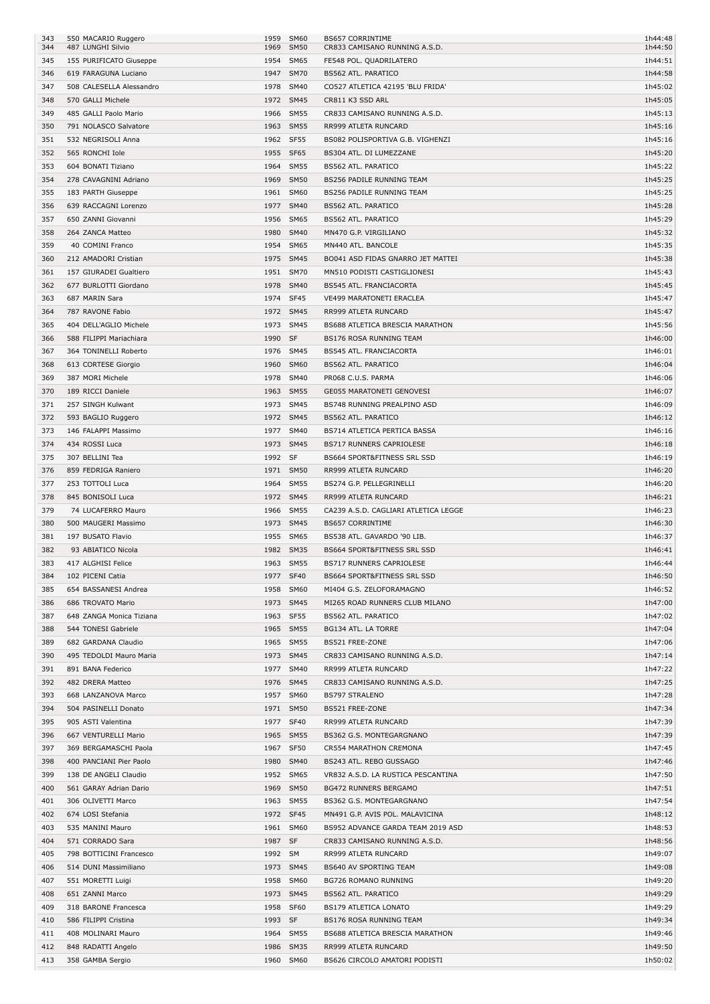| 343<br>344 | 550 MACARIO Ruggero<br>487 LUNGHI Silvio         | 1959<br>1969 | <b>SM60</b><br><b>SM50</b> | <b>BS657 CORRINTIME</b><br>CR833 CAMISANO RUNNING A.S.D.        | 1h44:48<br>1h44:50 |
|------------|--------------------------------------------------|--------------|----------------------------|-----------------------------------------------------------------|--------------------|
| 345        | 155 PURIFICATO Giuseppe                          | 1954         | SM65                       | FE548 POL. QUADRILATERO                                         | 1h44:51            |
| 346        | 619 FARAGUNA Luciano                             | 1947         | <b>SM70</b>                | <b>BS562 ATL. PARATICO</b>                                      | 1h44:58            |
| 347        | 508 CALESELLA Alessandro                         |              | 1978 SM40                  | CO527 ATLETICA 42195 'BLU FRIDA'                                | 1h45:02            |
| 348        | 570 GALLI Michele                                |              | 1972 SM45                  | CR811 K3 SSD ARL                                                | 1h45:05            |
| 349        | 485 GALLI Paolo Mario                            |              | 1966 SM55                  | CR833 CAMISANO RUNNING A.S.D.                                   | 1h45:13            |
| 350        | 791 NOLASCO Salvatore<br>532 NEGRISOLI Anna      |              | 1963 SM55<br>1962 SF55     | RR999 ATLETA RUNCARD<br>BS082 POLISPORTIVA G.B. VIGHENZI        | 1h45:16<br>1h45:16 |
| 351<br>352 | 565 RONCHI Iole                                  | 1955         | SF65                       | BS304 ATL. DI LUMEZZANE                                         | 1h45:20            |
| 353        | 604 BONATI Tiziano                               | 1964         | <b>SM55</b>                | <b>BS562 ATL. PARATICO</b>                                      | 1h45:22            |
| 354        | 278 CAVAGNINI Adriano                            | 1969         | <b>SM50</b>                | <b>BS256 PADILE RUNNING TEAM</b>                                | 1h45:25            |
| 355        | 183 PARTH Giuseppe                               |              | 1961 SM60                  | BS256 PADILE RUNNING TEAM                                       | 1h45:25            |
| 356        | 639 RACCAGNI Lorenzo                             | 1977         | SM40                       | <b>BS562 ATL. PARATICO</b>                                      | 1h45:28            |
| 357        | 650 ZANNI Giovanni                               | 1956         | SM65                       | BS562 ATL. PARATICO                                             | 1h45:29            |
| 358        | 264 ZANCA Matteo                                 | 1980         | <b>SM40</b>                | MN470 G.P. VIRGILIANO                                           | 1h45:32            |
| 359        | 40 COMINI Franco                                 | 1954         | SM65                       | MN440 ATL. BANCOLE                                              | 1h45:35            |
| 360        | 212 AMADORI Cristian                             |              | 1975 SM45                  | BO041 ASD FIDAS GNARRO JET MATTEI                               | 1h45:38            |
| 361<br>362 | 157 GIURADEI Gualtiero<br>677 BURLOTTI Giordano  |              | 1951 SM70<br>1978 SM40     | MN510 PODISTI CASTIGLIONESI<br><b>BS545 ATL. FRANCIACORTA</b>   | 1h45:43<br>1h45:45 |
| 363        | 687 MARIN Sara                                   |              | 1974 SF45                  | VE499 MARATONETI ERACLEA                                        | 1h45:47            |
| 364        | 787 RAVONE Fabio                                 |              | 1972 SM45                  | RR999 ATLETA RUNCARD                                            | 1h45:47            |
| 365        | 404 DELL'AGLIO Michele                           | 1973         | SM45                       | BS688 ATLETICA BRESCIA MARATHON                                 | 1h45:56            |
| 366        | 588 FILIPPI Mariachiara                          | 1990         | SF                         | <b>BS176 ROSA RUNNING TEAM</b>                                  | 1h46:00            |
| 367        | 364 TONINELLI Roberto                            |              | 1976 SM45                  | BS545 ATL. FRANCIACORTA                                         | 1h46:01            |
| 368        | 613 CORTESE Giorgio                              | 1960         | SM60                       | <b>BS562 ATL. PARATICO</b>                                      | 1h46:04            |
| 369        | 387 MORI Michele                                 | 1978         | <b>SM40</b>                | PR068 C.U.S. PARMA                                              | 1h46:06            |
| 370        | 189 RICCI Daniele                                |              | 1963 SM55                  | GE055 MARATONETI GENOVESI                                       | 1h46:07            |
| 371        | 257 SINGH Kulwant                                | 1973         | SM45                       | BS748 RUNNING PREALPINO ASD                                     | 1h46:09            |
| 372        | 593 BAGLIO Ruggero                               | 1977         | 1972 SM45<br><b>SM40</b>   | <b>BS562 ATL. PARATICO</b>                                      | 1h46:12<br>1h46:16 |
| 373<br>374 | 146 FALAPPI Massimo<br>434 ROSSI Luca            |              | 1973 SM45                  | BS714 ATLETICA PERTICA BASSA<br><b>BS717 RUNNERS CAPRIOLESE</b> | 1h46:18            |
| 375        | 307 BELLINI Tea                                  | 1992 SF      |                            | BS664 SPORT&FITNESS SRL SSD                                     | 1h46:19            |
| 376        | 859 FEDRIGA Raniero                              |              | 1971 SM50                  | RR999 ATLETA RUNCARD                                            | 1h46:20            |
| 377        | 253 TOTTOLI Luca                                 |              | 1964 SM55                  | BS274 G.P. PELLEGRINELLI                                        | 1h46:20            |
| 378        | 845 BONISOLI Luca                                |              | 1972 SM45                  | RR999 ATLETA RUNCARD                                            | 1h46:21            |
| 379        | 74 LUCAFERRO Mauro                               | 1966         | <b>SM55</b>                | CA239 A.S.D. CAGLIARI ATLETICA LEGGE                            | 1h46:23            |
| 380        | 500 MAUGERI Massimo                              | 1973         | <b>SM45</b>                | <b>BS657 CORRINTIME</b>                                         | 1h46:30            |
| 381        | 197 BUSATO Flavio                                |              | 1955 SM65                  | BS538 ATL. GAVARDO '90 LIB.                                     | 1h46:37            |
| 382        | 93 ABIATICO Nicola                               |              | 1982 SM35                  | BS664 SPORT&FITNESS SRL SSD                                     | 1h46:41            |
| 383<br>384 | 417 ALGHISI Felice<br>102 PICENI Catia           |              | 1963 SM55<br>1977 SF40     | BS717 RUNNERS CAPRIOLESE<br>BS664 SPORT&FITNESS SRL SSD         | 1h46:44<br>1h46:50 |
| 385        | 654 BASSANESI Andrea                             |              | 1958 SM60                  | MI404 G.S. ZELOFORAMAGNO                                        | 1h46:52            |
| 386        | 686 TROVATO Mario                                | 1973         | <b>SM45</b>                | MI265 ROAD RUNNERS CLUB MILANO                                  | 1h47:00            |
| 387        | 648 ZANGA Monica Tiziana                         |              | 1963 SF55                  | BS562 ATL. PARATICO                                             | 1h47:02            |
| 388        | 544 TONESI Gabriele                              |              | 1965 SM55                  | BG134 ATL. LA TORRE                                             | 1h47:04            |
| 389        | 682 GARDANA Claudio                              |              | 1965 SM55                  | BS521 FREE-ZONE                                                 | 1h47:06            |
| 390        | 495 TEDOLDI Mauro Maria                          |              | 1973 SM45                  | CR833 CAMISANO RUNNING A.S.D.                                   | 1h47:14            |
| 391        | 891 BANA Federico                                |              | 1977 SM40                  | RR999 ATLETA RUNCARD                                            | 1h47:22            |
| 392        | 482 DRERA Matteo                                 |              | 1976 SM45                  | CR833 CAMISANO RUNNING A.S.D.                                   | 1h47:25            |
| 393        | 668 LANZANOVA Marco                              |              | 1957 SM60                  | <b>BS797 STRALENO</b>                                           | 1h47:28            |
| 394<br>395 | 504 PASINELLI Donato<br>905 ASTI Valentina       |              | 1971 SM50<br>1977 SF40     | BS521 FREE-ZONE<br>RR999 ATLETA RUNCARD                         | 1h47:34<br>1h47:39 |
| 396        | 667 VENTURELLI Mario                             |              | 1965 SM55                  | BS362 G.S. MONTEGARGNANO                                        | 1h47:39            |
| 397        | 369 BERGAMASCHI Paola                            |              | 1967 SF50                  | CR554 MARATHON CREMONA                                          | 1h47:45            |
| 398        | 400 PANCIANI Pier Paolo                          |              | 1980 SM40                  | BS243 ATL. REBO GUSSAGO                                         | 1h47:46            |
| 399        | 138 DE ANGELI Claudio                            |              | 1952 SM65                  | VR832 A.S.D. LA RUSTICA PESCANTINA                              | 1h47:50            |
| 400        | 561 GARAY Adrian Dario                           | 1969         | <b>SM50</b>                | <b>BG472 RUNNERS BERGAMO</b>                                    | 1h47:51            |
| 401        | 306 OLIVETTI Marco                               |              | 1963 SM55                  | BS362 G.S. MONTEGARGNANO                                        | 1h47:54            |
| 402        | 674 LOSI Stefania                                |              | 1972 SF45                  | MN491 G.P. AVIS POL. MALAVICINA                                 | 1h48:12            |
| 403        | 535 MANINI Mauro                                 |              | 1961 SM60                  | BS952 ADVANCE GARDA TEAM 2019 ASD                               | 1h48:53            |
| 404        | 571 CORRADO Sara                                 | 1987 SF      |                            | CR833 CAMISANO RUNNING A.S.D.                                   | 1h48:56            |
| 405<br>406 | 798 BOTTICINI Francesco<br>514 DUNI Massimiliano | 1992 SM      | 1973 SM45                  | RR999 ATLETA RUNCARD<br><b>BS640 AV SPORTING TEAM</b>           | 1h49:07<br>1h49:08 |
| 407        | 551 MORETTI Luigi                                |              | 1958 SM60                  | BG726 ROMANO RUNNING                                            | 1h49:20            |
| 408        | 651 ZANNI Marco                                  |              | 1973 SM45                  | BS562 ATL. PARATICO                                             | 1h49:29            |
| 409        | 318 BARONE Francesca                             |              | 1958 SF60                  | <b>BS179 ATLETICA LONATO</b>                                    | 1h49:29            |
| 410        | 586 FILIPPI Cristina                             | 1993 SF      |                            | BS176 ROSA RUNNING TEAM                                         | 1h49:34            |
|            |                                                  |              |                            |                                                                 |                    |
| 411        | 408 MOLINARI Mauro                               | 1964         | <b>SM55</b>                | BS688 ATLETICA BRESCIA MARATHON                                 | 1h49:46            |
| 412        | 848 RADATTI Angelo                               | 1986         | <b>SM35</b>                | RR999 ATLETA RUNCARD                                            | 1h49:50            |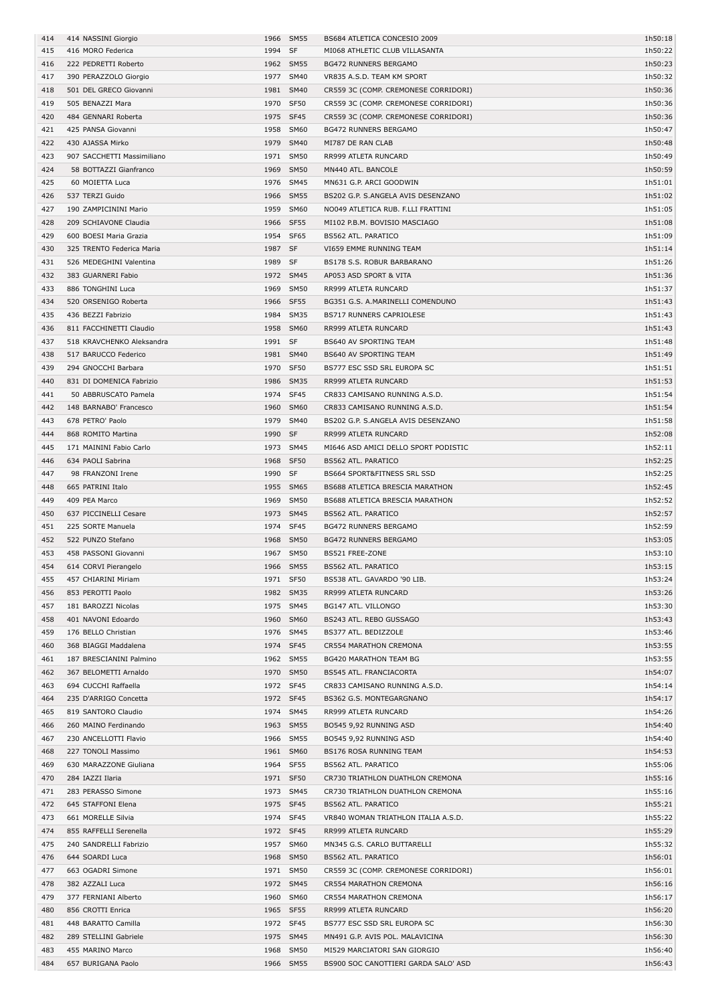| 414 | 414 NASSINI Giorgio        |           | 1966 SM55   | BS684 ATLETICA CONCESIO 2009         | 1h50:18 |
|-----|----------------------------|-----------|-------------|--------------------------------------|---------|
| 415 | 416 MORO Federica          | 1994      | SF          | MI068 ATHLETIC CLUB VILLASANTA       | 1h50:22 |
| 416 | 222 PEDRETTI Roberto       |           | 1962 SM55   | <b>BG472 RUNNERS BERGAMO</b>         | 1h50:23 |
|     |                            |           |             |                                      |         |
| 417 | 390 PERAZZOLO Giorgio      |           | 1977 SM40   | VR835 A.S.D. TEAM KM SPORT           | 1h50:32 |
| 418 | 501 DEL GRECO Giovanni     |           | 1981 SM40   | CR559 3C (COMP. CREMONESE CORRIDORI) | 1h50:36 |
| 419 | 505 BENAZZI Mara           | 1970      | SF50        | CR559 3C (COMP. CREMONESE CORRIDORI) | 1h50:36 |
| 420 | 484 GENNARI Roberta        | 1975 SF45 |             | CR559 3C (COMP. CREMONESE CORRIDORI) | 1h50:36 |
| 421 | 425 PANSA Giovanni         |           | 1958 SM60   | <b>BG472 RUNNERS BERGAMO</b>         | 1h50:47 |
| 422 | 430 AJASSA Mirko           |           | 1979 SM40   | MI787 DE RAN CLAB                    | 1h50:48 |
|     |                            |           | 1971 SM50   |                                      |         |
| 423 | 907 SACCHETTI Massimiliano |           |             | RR999 ATLETA RUNCARD                 | 1h50:49 |
| 424 | 58 BOTTAZZI Gianfranco     |           | 1969 SM50   | MN440 ATL. BANCOLE                   | 1h50:59 |
| 425 | 60 MOIETTA Luca            |           | 1976 SM45   | MN631 G.P. ARCI GOODWIN              | 1h51:01 |
| 426 | 537 TERZI Guido            | 1966      | <b>SM55</b> | BS202 G.P. S.ANGELA AVIS DESENZANO   | 1h51:02 |
| 427 | 190 ZAMPICININI Mario      | 1959      | <b>SM60</b> | NO049 ATLETICA RUB. F.LLI FRATTINI   | 1h51:05 |
| 428 | 209 SCHIAVONE Claudia      | 1966 SF55 |             | MI102 P.B.M. BOVISIO MASCIAGO        | 1h51:08 |
|     | 600 BOESI Maria Grazia     | 1954      | SF65        |                                      |         |
| 429 |                            |           |             | <b>BS562 ATL. PARATICO</b>           | 1h51:09 |
| 430 | 325 TRENTO Federica Maria  | 1987 SF   |             | VI659 EMME RUNNING TEAM              | 1h51:14 |
| 431 | 526 MEDEGHINI Valentina    | 1989 SF   |             | BS178 S.S. ROBUR BARBARANO           | 1h51:26 |
| 432 | 383 GUARNERI Fabio         |           | 1972 SM45   | AP053 ASD SPORT & VITA               | 1h51:36 |
| 433 | 886 TONGHINI Luca          |           | 1969 SM50   | RR999 ATLETA RUNCARD                 | 1h51:37 |
| 434 | 520 ORSENIGO Roberta       | 1966 SF55 |             | BG351 G.S. A.MARINELLI COMENDUNO     | 1h51:43 |
|     |                            |           | 1984 SM35   | <b>BS717 RUNNERS CAPRIOLESE</b>      |         |
| 435 | 436 BEZZI Fabrizio         |           |             |                                      | 1h51:43 |
| 436 | 811 FACCHINETTI Claudio    |           | 1958 SM60   | RR999 ATLETA RUNCARD                 | 1h51:43 |
| 437 | 518 KRAVCHENKO Aleksandra  | 1991 SF   |             | BS640 AV SPORTING TEAM               | 1h51:48 |
| 438 | 517 BARUCCO Federico       |           | 1981 SM40   | <b>BS640 AV SPORTING TEAM</b>        | 1h51:49 |
| 439 | 294 GNOCCHI Barbara        | 1970      | <b>SF50</b> | BS777 ESC SSD SRL EUROPA SC          | 1h51:51 |
| 440 | 831 DI DOMENICA Fabrizio   | 1986      | SM35        | RR999 ATLETA RUNCARD                 | 1h51:53 |
|     |                            |           |             |                                      |         |
| 441 | 50 ABBRUSCATO Pamela       | 1974 SF45 |             | CR833 CAMISANO RUNNING A.S.D.        | 1h51:54 |
| 442 | 148 BARNABO' Francesco     | 1960      | <b>SM60</b> | CR833 CAMISANO RUNNING A.S.D.        | 1h51:54 |
| 443 | 678 PETRO' Paolo           | 1979      | <b>SM40</b> | BS202 G.P. S.ANGELA AVIS DESENZANO   | 1h51:58 |
| 444 | 868 ROMITO Martina         | 1990 SF   |             | RR999 ATLETA RUNCARD                 | 1h52:08 |
| 445 | 171 MAININI Fabio Carlo    |           | 1973 SM45   | MI646 ASD AMICI DELLO SPORT PODISTIC | 1h52:11 |
| 446 | 634 PAOLI Sabrina          | 1968      | <b>SF50</b> | BS562 ATL. PARATICO                  | 1h52:25 |
|     |                            |           |             |                                      |         |
| 447 | 98 FRANZONI Irene          | 1990 SF   |             | BS664 SPORT&FITNESS SRL SSD          | 1h52:25 |
| 448 | 665 PATRINI Italo          |           | 1955 SM65   | BS688 ATLETICA BRESCIA MARATHON      | 1h52:45 |
| 449 | 409 PEA Marco              |           | 1969 SM50   | BS688 ATLETICA BRESCIA MARATHON      | 1h52:52 |
| 450 | 637 PICCINELLI Cesare      |           | 1973 SM45   | <b>BS562 ATL. PARATICO</b>           | 1h52:57 |
| 451 | 225 SORTE Manuela          | 1974      | SF45        | <b>BG472 RUNNERS BERGAMO</b>         | 1h52:59 |
| 452 | 522 PUNZO Stefano          | 1968      | <b>SM50</b> | <b>BG472 RUNNERS BERGAMO</b>         | 1h53:05 |
|     |                            |           |             |                                      |         |
| 453 | 458 PASSONI Giovanni       |           | 1967 SM50   | BS521 FREE-ZONE                      | 1h53:10 |
| 454 | 614 CORVI Pierangelo       |           | 1966 SM55   | BS562 ATL. PARATICO                  | 1h53:15 |
| 455 | 457 CHIARINI Miriam        | 1971 SF50 |             | BS538 ATL. GAVARDO '90 LIB.          | 1h53:24 |
| 456 | 853 PEROTTI Paolo          |           | 1982 SM35   | RR999 ATLETA RUNCARD                 | 1h53:26 |
| 457 | 181 BAROZZI Nicolas        |           | 1975 SM45   | BG147 ATL. VILLONGO                  | 1h53:30 |
| 458 | 401 NAVONI Edoardo         |           | 1960 SM60   | BS243 ATL. REBO GUSSAGO              | 1h53:43 |
|     |                            |           |             |                                      |         |
| 459 | 176 BELLO Christian        |           | 1976 SM45   | BS377 ATL. BEDIZZOLE                 | 1h53:46 |
| 460 | 368 BIAGGI Maddalena       |           | 1974 SF45   | CR554 MARATHON CREMONA               | 1h53:55 |
| 461 | 187 BRESCIANINI Palmino    |           | 1962 SM55   | <b>BG420 MARATHON TEAM BG</b>        | 1h53:55 |
| 462 | 367 BELOMETTI Arnaldo      |           | 1970 SM50   | BS545 ATL. FRANCIACORTA              | 1h54:07 |
| 463 | 694 CUCCHI Raffaella       |           | 1972 SF45   | CR833 CAMISANO RUNNING A.S.D.        | 1h54:14 |
| 464 | 235 D'ARRIGO Concetta      |           | 1972 SF45   | BS362 G.S. MONTEGARGNANO             | 1h54:17 |
| 465 | 819 SANTORO Claudio        |           | 1974 SM45   | RR999 ATLETA RUNCARD                 | 1h54:26 |
|     |                            |           |             |                                      |         |
| 466 | 260 MAINO Ferdinando       |           | 1963 SM55   | BO545 9,92 RUNNING ASD               | 1h54:40 |
| 467 | 230 ANCELLOTTI Flavio      |           | 1966 SM55   | BO545 9,92 RUNNING ASD               | 1h54:40 |
| 468 | 227 TONOLI Massimo         |           | 1961 SM60   | BS176 ROSA RUNNING TEAM              | 1h54:53 |
| 469 | 630 MARAZZONE Giuliana     |           | 1964 SF55   | BS562 ATL. PARATICO                  | 1h55:06 |
| 470 | 284 IAZZI Ilaria           |           | 1971 SF50   | CR730 TRIATHLON DUATHLON CREMONA     | 1h55:16 |
| 471 | 283 PERASSO Simone         |           | 1973 SM45   | CR730 TRIATHLON DUATHLON CREMONA     | 1h55:16 |
|     |                            |           |             |                                      |         |
| 472 | 645 STAFFONI Elena         | 1975 SF45 |             | BS562 ATL. PARATICO                  | 1h55:21 |
| 473 | 661 MORELLE Silvia         |           | 1974 SF45   | VR840 WOMAN TRIATHLON ITALIA A.S.D.  | 1h55:22 |
| 474 | 855 RAFFELLI Serenella     |           | 1972 SF45   | RR999 ATLETA RUNCARD                 | 1h55:29 |
| 475 | 240 SANDRELLI Fabrizio     |           | 1957 SM60   | MN345 G.S. CARLO BUTTARELLI          | 1h55:32 |
| 476 | 644 SOARDI Luca            |           | 1968 SM50   | BS562 ATL. PARATICO                  | 1h56:01 |
| 477 | 663 OGADRI Simone          |           | 1971 SM50   | CR559 3C (COMP. CREMONESE CORRIDORI) | 1h56:01 |
|     |                            |           |             |                                      |         |
| 478 | 382 AZZALI Luca            |           | 1972 SM45   | CR554 MARATHON CREMONA               | 1h56:16 |
| 479 | 377 FERNIANI Alberto       |           | 1960 SM60   | CR554 MARATHON CREMONA               | 1h56:17 |
| 480 | 856 CROTTI Enrica          |           | 1965 SF55   | RR999 ATLETA RUNCARD                 | 1h56:20 |
| 481 | 448 BARATTO Camilla        | 1972 SF45 |             | BS777 ESC SSD SRL EUROPA SC          | 1h56:30 |
| 482 | 289 STELLINI Gabriele      |           | 1975 SM45   | MN491 G.P. AVIS POL. MALAVICINA      | 1h56:30 |
| 483 | 455 MARINO Marco           |           | 1968 SM50   | MI529 MARCIATORI SAN GIORGIO         | 1h56:40 |
| 484 | 657 BURIGANA Paolo         |           | 1966 SM55   | BS900 SOC CANOTTIERI GARDA SALO' ASD | 1h56:43 |
|     |                            |           |             |                                      |         |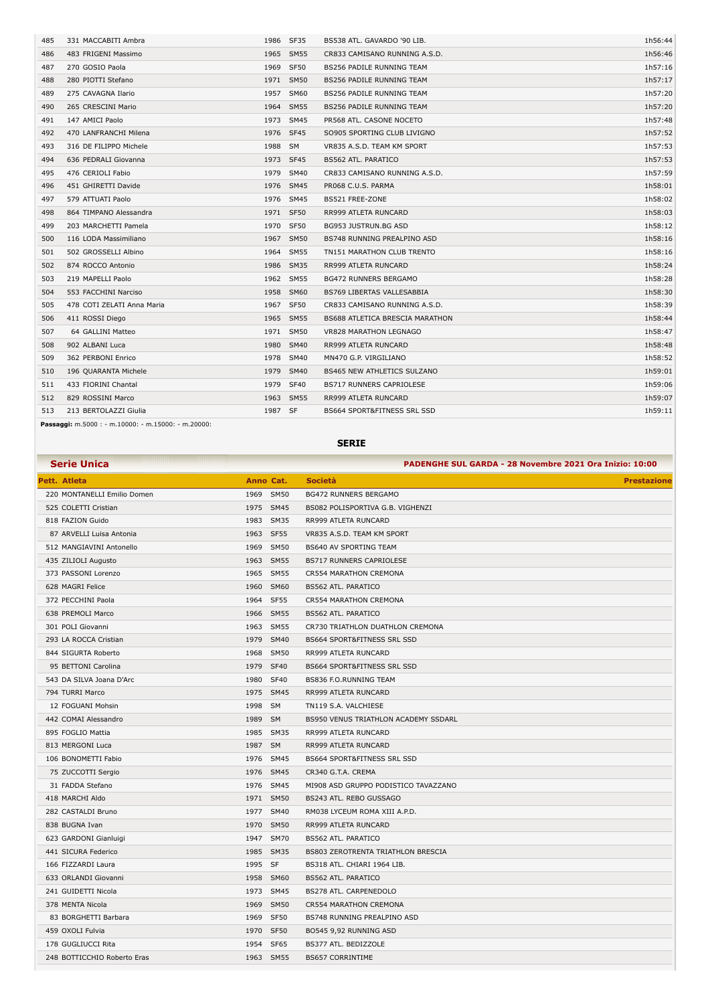| 485 | 331 MACCABITI Ambra                                                   | 1986      | <b>SF35</b> | BS538 ATL. GAVARDO '90 LIB.        | 1h56:44 |
|-----|-----------------------------------------------------------------------|-----------|-------------|------------------------------------|---------|
| 486 | 483 FRIGENI Massimo                                                   |           | 1965 SM55   | CR833 CAMISANO RUNNING A.S.D.      | 1h56:46 |
| 487 | 270 GOSIO Paola                                                       | 1969      | <b>SF50</b> | BS256 PADILE RUNNING TEAM          | 1h57:16 |
| 488 | 280 PIOTTI Stefano                                                    |           | 1971 SM50   | <b>BS256 PADILE RUNNING TEAM</b>   | 1h57:17 |
| 489 | 275 CAVAGNA Ilario                                                    | 1957      | SM60        | <b>BS256 PADILE RUNNING TEAM</b>   | 1h57:20 |
| 490 | 265 CRESCINI Mario                                                    | 1964      | <b>SM55</b> | <b>BS256 PADILE RUNNING TEAM</b>   | 1h57:20 |
| 491 | 147 AMICI Paolo                                                       |           | 1973 SM45   | PR568 ATL. CASONE NOCETO           | 1h57:48 |
| 492 | 470 LANFRANCHI Milena                                                 |           | 1976 SF45   | SO905 SPORTING CLUB LIVIGNO        | 1h57:52 |
| 493 | 316 DE FILIPPO Michele                                                | 1988 SM   |             | VR835 A.S.D. TEAM KM SPORT         | 1h57:53 |
| 494 | 636 PEDRALI Giovanna                                                  | 1973 SF45 |             | <b>BS562 ATL. PARATICO</b>         | 1h57:53 |
| 495 | 476 CERIOLI Fabio                                                     |           | 1979 SM40   | CR833 CAMISANO RUNNING A.S.D.      | 1h57:59 |
| 496 | 451 GHIRETTI Davide                                                   |           | 1976 SM45   | PR068 C.U.S. PARMA                 | 1h58:01 |
| 497 | 579 ATTUATI Paolo                                                     |           | 1976 SM45   | BS521 FREE-ZONE                    | 1h58:02 |
| 498 | 864 TIMPANO Alessandra                                                | 1971 SF50 |             | RR999 ATLETA RUNCARD               | 1h58:03 |
| 499 | 203 MARCHETTI Pamela                                                  |           | 1970 SF50   | BG953 JUSTRUN.BG ASD               | 1h58:12 |
| 500 | 116 LODA Massimiliano                                                 |           | 1967 SM50   | BS748 RUNNING PREALPINO ASD        | 1h58:16 |
| 501 | 502 GROSSELLI Albino                                                  |           | 1964 SM55   | TN151 MARATHON CLUB TRENTO         | 1h58:16 |
| 502 | 874 ROCCO Antonio                                                     | 1986      | <b>SM35</b> | RR999 ATLETA RUNCARD               | 1h58:24 |
| 503 | 219 MAPELLI Paolo                                                     |           | 1962 SM55   | <b>BG472 RUNNERS BERGAMO</b>       | 1h58:28 |
| 504 | 553 FACCHINI Narciso                                                  | 1958      | <b>SM60</b> | <b>BS769 LIBERTAS VALLESABBIA</b>  | 1h58:30 |
| 505 | 478 COTI ZELATI Anna Maria                                            |           | 1967 SF50   | CR833 CAMISANO RUNNING A.S.D.      | 1h58:39 |
| 506 | 411 ROSSI Diego                                                       |           | 1965 SM55   | BS688 ATLETICA BRESCIA MARATHON    | 1h58:44 |
| 507 | 64 GALLINI Matteo                                                     | 1971      | SM50        | <b>VR828 MARATHON LEGNAGO</b>      | 1h58:47 |
| 508 | 902 ALBANI Luca                                                       | 1980      | <b>SM40</b> | RR999 ATLETA RUNCARD               | 1h58:48 |
| 509 | 362 PERBONI Enrico                                                    | 1978      | <b>SM40</b> | MN470 G.P. VIRGILIANO              | 1h58:52 |
| 510 | 196 QUARANTA Michele                                                  | 1979      | <b>SM40</b> | <b>BS465 NEW ATHLETICS SULZANO</b> | 1h59:01 |
| 511 | 433 FIORINI Chantal                                                   | 1979      | <b>SF40</b> | <b>BS717 RUNNERS CAPRIOLESE</b>    | 1h59:06 |
| 512 | 829 ROSSINI Marco                                                     |           | 1963 SM55   | RR999 ATLETA RUNCARD               | 1h59:07 |
| 513 | 213 BERTOLAZZI Giulia                                                 | 1987 SF   |             | BS664 SPORT&FITNESS SRL SSD        | 1h59:11 |
|     | <b>Passaggi:</b> $m.5000$ : - $m.10000$ : - $m.15000$ : - $m.20000$ : |           |             |                                    |         |

**SERIE**

| <b>Serie Unica</b>          |           | PADENGHE SUL GARDA - 28 Novembre 2021 Ora Inizio: 10:00 |
|-----------------------------|-----------|---------------------------------------------------------|
| Pett. Atleta                | Anno Cat. | <b>Società</b><br><b>Prestazione</b>                    |
| 220 MONTANELLI Emilio Domen | 1969 SM50 | <b>BG472 RUNNERS BERGAMO</b>                            |
| 525 COLETTI Cristian        | 1975 SM45 | BS082 POLISPORTIVA G.B. VIGHENZI                        |
| 818 FAZION Guido            | 1983 SM35 | RR999 ATLETA RUNCARD                                    |
| 87 ARVELLI Luisa Antonia    | 1963 SF55 | VR835 A.S.D. TEAM KM SPORT                              |
| 512 MANGIAVINI Antonello    | 1969 SM50 | <b>BS640 AV SPORTING TEAM</b>                           |
| 435 ZILIOLI Augusto         | 1963 SM55 | <b>BS717 RUNNERS CAPRIOLESE</b>                         |
| 373 PASSONI Lorenzo         | 1965 SM55 | CR554 MARATHON CREMONA                                  |
| 628 MAGRI Felice            | 1960 SM60 | <b>BS562 ATL. PARATICO</b>                              |
| 372 PECCHINI Paola          | 1964 SF55 | CR554 MARATHON CREMONA                                  |
| 638 PREMOLI Marco           | 1966 SM55 | <b>BS562 ATL. PARATICO</b>                              |
| 301 POLI Giovanni           | 1963 SM55 | CR730 TRIATHLON DUATHLON CREMONA                        |
| 293 LA ROCCA Cristian       | 1979 SM40 | BS664 SPORT&FITNESS SRL SSD                             |
| 844 SIGURTA Roberto         | 1968 SM50 | RR999 ATLETA RUNCARD                                    |
| 95 BETTONI Carolina         | 1979 SF40 | <b>BS664 SPORT&amp;FITNESS SRL SSD</b>                  |
| 543 DA SILVA Joana D'Arc    | 1980 SF40 | <b>BS836 F.O.RUNNING TEAM</b>                           |
| 794 TURRI Marco             | 1975 SM45 | RR999 ATLETA RUNCARD                                    |
| 12 FOGUANI Mohsin           | 1998 SM   | TN119 S.A. VALCHIESE                                    |
| 442 COMAI Alessandro        | 1989 SM   | BS950 VENUS TRIATHLON ACADEMY SSDARL                    |
| 895 FOGLIO Mattia           | 1985 SM35 | RR999 ATLETA RUNCARD                                    |
| 813 MERGONI Luca            | 1987 SM   | RR999 ATLETA RUNCARD                                    |
| 106 BONOMETTI Fabio         | 1976 SM45 | BS664 SPORT&FITNESS SRL SSD                             |
| 75 ZUCCOTTI Sergio          | 1976 SM45 | CR340 G.T.A. CREMA                                      |
| 31 FADDA Stefano            | 1976 SM45 | MI908 ASD GRUPPO PODISTICO TAVAZZANO                    |
| 418 MARCHI Aldo             | 1971 SM50 | BS243 ATL. REBO GUSSAGO                                 |
| 282 CASTALDI Bruno          | 1977 SM40 | RM038 LYCEUM ROMA XIII A.P.D.                           |
| 838 BUGNA Ivan              | 1970 SM50 | RR999 ATLETA RUNCARD                                    |
| 623 GARDONI Gianluigi       | 1947 SM70 | BS562 ATL. PARATICO                                     |
| 441 SICURA Federico         | 1985 SM35 | BS803 ZEROTRENTA TRIATHLON BRESCIA                      |
| 166 FIZZARDI Laura          | 1995 SF   | BS318 ATL. CHIARI 1964 LIB.                             |
| 633 ORLANDI Giovanni        | 1958 SM60 | BS562 ATL. PARATICO                                     |
| 241 GUIDETTI Nicola         | 1973 SM45 | BS278 ATL. CARPENEDOLO                                  |
| 378 MENTA Nicola            | 1969 SM50 | CR554 MARATHON CREMONA                                  |
| 83 BORGHETTI Barbara        | 1969 SF50 | BS748 RUNNING PREALPINO ASD                             |
| 459 OXOLI Fulvia            | 1970 SF50 | BO545 9,92 RUNNING ASD                                  |
| 178 GUGLIUCCI Rita          | 1954 SF65 | BS377 ATL. BEDIZZOLE                                    |
| 248 BOTTICCHIO Roberto Eras | 1963 SM55 | <b>BS657 CORRINTIME</b>                                 |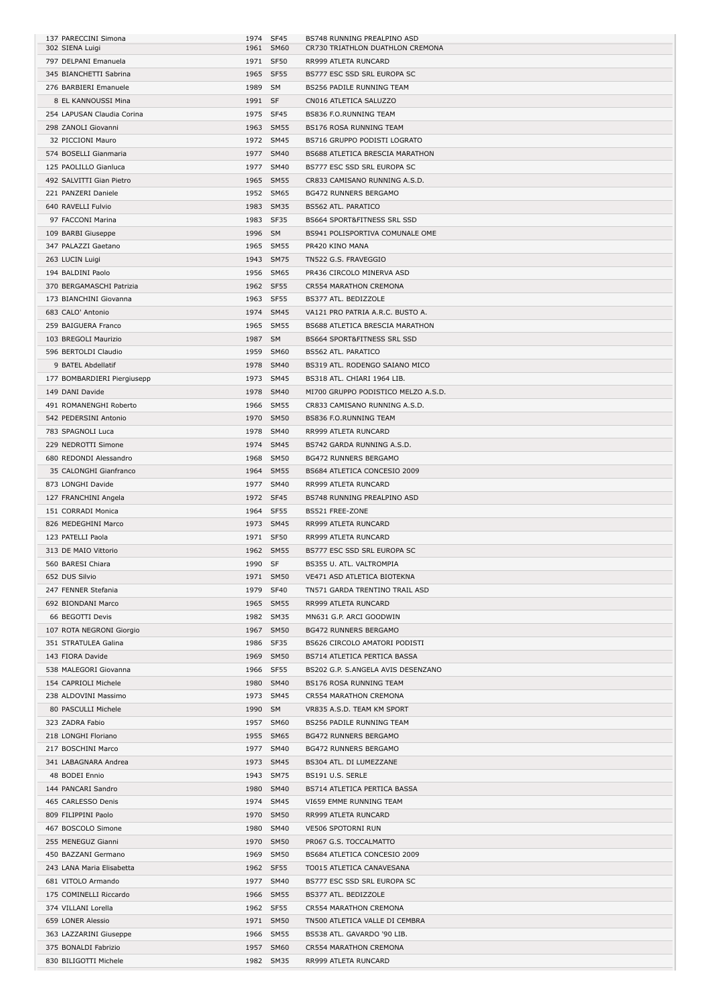| 137 PARECCINI Simona        | 1974 SF45 |           | BS748 RUNNING PREALPINO ASD            |
|-----------------------------|-----------|-----------|----------------------------------------|
| 302 SIENA Luigi             |           | 1961 SM60 | CR730 TRIATHLON DUATHLON CREMONA       |
| 797 DELPANI Emanuela        | 1971 SF50 |           | RR999 ATLETA RUNCARD                   |
| 345 BIANCHETTI Sabrina      | 1965 SF55 |           | BS777 ESC SSD SRL EUROPA SC            |
| 276 BARBIERI Emanuele       | 1989 SM   |           | BS256 PADILE RUNNING TEAM              |
| 8 EL KANNOUSSI Mina         |           |           |                                        |
|                             | 1991 SF   |           | CN016 ATLETICA SALUZZO                 |
| 254 LAPUSAN Claudia Corina  |           | 1975 SF45 | BS836 F.O.RUNNING TEAM                 |
| 298 ZANOLI Giovanni         |           | 1963 SM55 | BS176 ROSA RUNNING TEAM                |
| 32 PICCIONI Mauro           |           | 1972 SM45 | BS716 GRUPPO PODISTI LOGRATO           |
| 574 BOSELLI Gianmaria       |           | 1977 SM40 | <b>BS688 ATLETICA BRESCIA MARATHON</b> |
| 125 PAOLILLO Gianluca       |           | 1977 SM40 | BS777 ESC SSD SRL EUROPA SC            |
| 492 SALVITTI Gian Pietro    |           | 1965 SM55 | CR833 CAMISANO RUNNING A.S.D.          |
| 221 PANZERI Daniele         |           | 1952 SM65 | <b>BG472 RUNNERS BERGAMO</b>           |
|                             |           |           |                                        |
| 640 RAVELLI Fulvio          |           | 1983 SM35 | <b>BS562 ATL. PARATICO</b>             |
| 97 FACCONI Marina           | 1983 SF35 |           | <b>BS664 SPORT&amp;FITNESS SRL SSD</b> |
| 109 BARBI Giuseppe          | 1996 SM   |           | BS941 POLISPORTIVA COMUNALE OME        |
| 347 PALAZZI Gaetano         |           | 1965 SM55 | PR420 KINO MANA                        |
| 263 LUCIN Luigi             |           | 1943 SM75 | TN522 G.S. FRAVEGGIO                   |
| 194 BALDINI Paolo           |           | 1956 SM65 | PR436 CIRCOLO MINERVA ASD              |
| 370 BERGAMASCHI Patrizia    |           | 1962 SF55 |                                        |
|                             |           |           | CR554 MARATHON CREMONA                 |
| 173 BIANCHINI Giovanna      |           | 1963 SF55 | BS377 ATL. BEDIZZOLE                   |
| 683 CALO' Antonio           |           | 1974 SM45 | VA121 PRO PATRIA A.R.C. BUSTO A.       |
| 259 BAIGUERA Franco         |           | 1965 SM55 | BS688 ATLETICA BRESCIA MARATHON        |
| 103 BREGOLI Maurizio        | 1987 SM   |           | BS664 SPORT&FITNESS SRL SSD            |
| 596 BERTOLDI Claudio        |           | 1959 SM60 | <b>BS562 ATL. PARATICO</b>             |
| 9 BATEL Abdellatif          |           | 1978 SM40 | BS319 ATL. RODENGO SAIANO MICO         |
|                             |           |           |                                        |
| 177 BOMBARDIERI Piergiusepp |           | 1973 SM45 | BS318 ATL. CHIARI 1964 LIB.            |
| 149 DANI Davide             |           | 1978 SM40 | MI700 GRUPPO PODISTICO MELZO A.S.D.    |
| 491 ROMANENGHI Roberto      |           | 1966 SM55 | CR833 CAMISANO RUNNING A.S.D.          |
| 542 PEDERSINI Antonio       |           | 1970 SM50 | BS836 F.O.RUNNING TEAM                 |
| 783 SPAGNOLI Luca           |           | 1978 SM40 | RR999 ATLETA RUNCARD                   |
| 229 NEDROTTI Simone         |           | 1974 SM45 | BS742 GARDA RUNNING A.S.D.             |
| 680 REDONDI Alessandro      |           | 1968 SM50 | <b>BG472 RUNNERS BERGAMO</b>           |
|                             |           |           |                                        |
| 35 CALONGHI Gianfranco      |           | 1964 SM55 | BS684 ATLETICA CONCESIO 2009           |
| 873 LONGHI Davide           |           | 1977 SM40 | RR999 ATLETA RUNCARD                   |
| 127 FRANCHINI Angela        |           | 1972 SF45 | BS748 RUNNING PREALPINO ASD            |
| 151 CORRADI Monica          | 1964 SF55 |           | BS521 FREE-ZONE                        |
|                             |           |           | RR999 ATLETA RUNCARD                   |
| 826 MEDEGHINI Marco         | 1973 SM45 |           |                                        |
| 123 PATELLI Paola           |           | 1971 SF50 | RR999 ATLETA RUNCARD                   |
|                             |           |           |                                        |
| 313 DE MAIO Vittorio        |           | 1962 SM55 | BS777 ESC SSD SRL EUROPA SC            |
| 560 BARESI Chiara           | 1990 SF   |           | BS355 U. ATL. VALTROMPIA               |
| 652 DUS Silvio              |           | 1971 SM50 | VE471 ASD ATLETICA BIOTEKNA            |
| 247 FENNER Stefania         |           | 1979 SF40 | TN571 GARDA TRENTINO TRAIL ASD         |
| 692 BIONDANI Marco          |           | 1965 SM55 | RR999 ATLETA RUNCARD                   |
| 66 BEGOTTI Devis            |           | 1982 SM35 | MN631 G.P. ARCI GOODWIN                |
| 107 ROTA NEGRONI Giorgio    |           | 1967 SM50 | <b>BG472 RUNNERS BERGAMO</b>           |
| 351 STRATULEA Galina        |           | 1986 SF35 | BS626 CIRCOLO AMATORI PODISTI          |
|                             |           |           |                                        |
| 143 FIORA Davide            |           | 1969 SM50 | BS714 ATLETICA PERTICA BASSA           |
| 538 MALEGORI Giovanna       |           | 1966 SF55 | BS202 G.P. S.ANGELA AVIS DESENZANO     |
| 154 CAPRIOLI Michele        |           | 1980 SM40 | BS176 ROSA RUNNING TEAM                |
| 238 ALDOVINI Massimo        |           | 1973 SM45 | CR554 MARATHON CREMONA                 |
| 80 PASCULLI Michele         | 1990 SM   |           | VR835 A.S.D. TEAM KM SPORT             |
| 323 ZADRA Fabio             |           | 1957 SM60 | BS256 PADILE RUNNING TEAM              |
| 218 LONGHI Floriano         |           | 1955 SM65 | <b>BG472 RUNNERS BERGAMO</b>           |
| 217 BOSCHINI Marco          |           | 1977 SM40 | <b>BG472 RUNNERS BERGAMO</b>           |
|                             |           |           |                                        |
| 341 LABAGNARA Andrea        |           | 1973 SM45 | BS304 ATL. DI LUMEZZANE                |
| 48 BODEI Ennio              |           | 1943 SM75 | BS191 U.S. SERLE                       |
| 144 PANCARI Sandro          |           | 1980 SM40 | BS714 ATLETICA PERTICA BASSA           |
| 465 CARLESSO Denis          |           | 1974 SM45 | VI659 EMME RUNNING TEAM                |
| 809 FILIPPINI Paolo         |           | 1970 SM50 | RR999 ATLETA RUNCARD                   |
| 467 BOSCOLO Simone          |           | 1980 SM40 | VE506 SPOTORNI RUN                     |
| 255 MENEGUZ Gianni          |           | 1970 SM50 | PR067 G.S. TOCCALMATTO                 |
|                             |           |           |                                        |
| 450 BAZZANI Germano         |           | 1969 SM50 | BS684 ATLETICA CONCESIO 2009           |
| 243 LANA Maria Elisabetta   |           | 1962 SF55 | TO015 ATLETICA CANAVESANA              |
| 681 VITOLO Armando          |           | 1977 SM40 | BS777 ESC SSD SRL EUROPA SC            |
| 175 COMINELLI Riccardo      |           | 1966 SM55 | BS377 ATL. BEDIZZOLE                   |
| 374 VILLANI Lorella         |           | 1962 SF55 | CR554 MARATHON CREMONA                 |
| 659 LONER Alessio           |           | 1971 SM50 | TN500 ATLETICA VALLE DI CEMBRA         |
| 363 LAZZARINI Giuseppe      |           | 1966 SM55 | BS538 ATL. GAVARDO '90 LIB.            |
| 375 BONALDI Fabrizio        |           | 1957 SM60 | CR554 MARATHON CREMONA                 |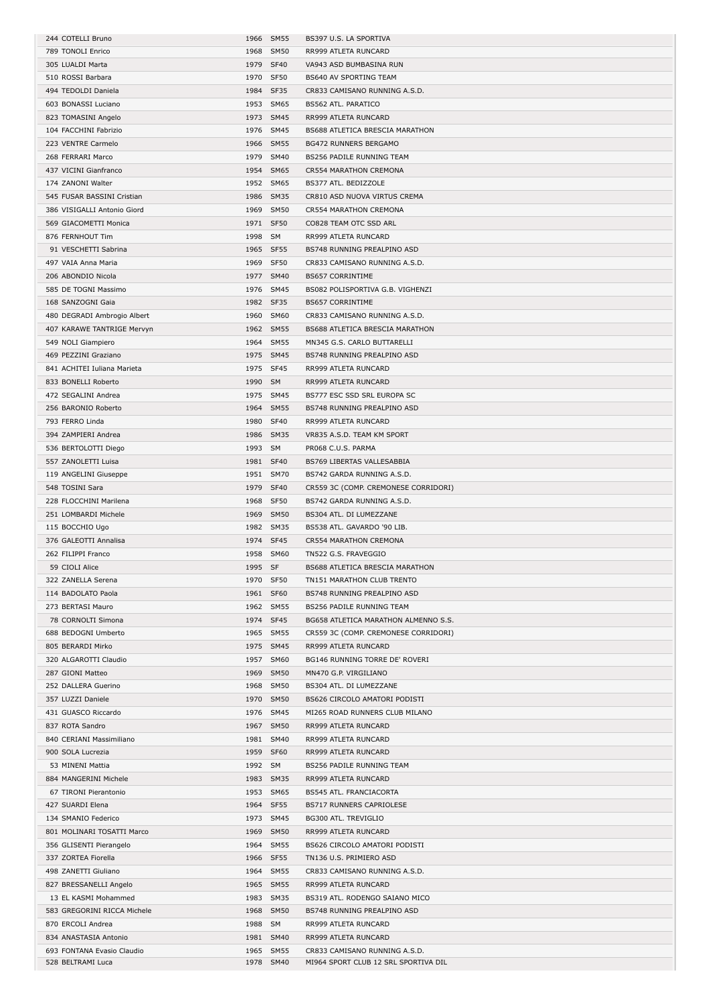| 244 COTELLI Bruno                               |         | 1966 SM55              | BS397 U.S. LA SPORTIVA                                                |
|-------------------------------------------------|---------|------------------------|-----------------------------------------------------------------------|
| 789 TONOLI Enrico                               |         | 1968 SM50              | RR999 ATLETA RUNCARD                                                  |
| 305 LUALDI Marta                                |         | 1979 SF40              | VA943 ASD BUMBASINA RUN                                               |
|                                                 |         |                        |                                                                       |
| 510 ROSSI Barbara                               |         | 1970 SF50              | BS640 AV SPORTING TEAM                                                |
| 494 TEDOLDI Daniela                             |         | 1984 SF35              | CR833 CAMISANO RUNNING A.S.D.                                         |
| 603 BONASSI Luciano                             |         | 1953 SM65              | BS562 ATL. PARATICO                                                   |
| 823 TOMASINI Angelo                             |         | 1973 SM45              | RR999 ATLETA RUNCARD                                                  |
| 104 FACCHINI Fabrizio                           |         | 1976 SM45              | BS688 ATLETICA BRESCIA MARATHON                                       |
|                                                 |         | 1966 SM55              |                                                                       |
| 223 VENTRE Carmelo                              |         |                        | <b>BG472 RUNNERS BERGAMO</b>                                          |
| 268 FERRARI Marco                               |         | 1979 SM40              | BS256 PADILE RUNNING TEAM                                             |
| 437 VICINI Gianfranco                           |         | 1954 SM65              | CR554 MARATHON CREMONA                                                |
| 174 ZANONI Walter                               |         | 1952 SM65              | BS377 ATL. BEDIZZOLE                                                  |
| 545 FUSAR BASSINI Cristian                      |         | 1986 SM35              | CR810 ASD NUOVA VIRTUS CREMA                                          |
| 386 VISIGALLI Antonio Giord                     |         | 1969 SM50              | CR554 MARATHON CREMONA                                                |
|                                                 |         |                        |                                                                       |
| 569 GIACOMETTI Monica                           |         | 1971 SF50              | CO828 TEAM OTC SSD ARL                                                |
| 876 FERNHOUT Tim                                | 1998 SM |                        | RR999 ATLETA RUNCARD                                                  |
| 91 VESCHETTI Sabrina                            |         | 1965 SF55              | BS748 RUNNING PREALPINO ASD                                           |
| 497 VAIA Anna Maria                             |         | 1969 SF50              | CR833 CAMISANO RUNNING A.S.D.                                         |
| 206 ABONDIO Nicola                              |         | 1977 SM40              | <b>BS657 CORRINTIME</b>                                               |
|                                                 |         |                        |                                                                       |
| 585 DE TOGNI Massimo                            |         | 1976 SM45              | BS082 POLISPORTIVA G.B. VIGHENZI                                      |
| 168 SANZOGNI Gaia                               |         | 1982 SF35              | <b>BS657 CORRINTIME</b>                                               |
| 480 DEGRADI Ambrogio Albert                     |         | 1960 SM60              | CR833 CAMISANO RUNNING A.S.D.                                         |
| 407 KARAWE TANTRIGE Mervyn                      |         | 1962 SM55              | BS688 ATLETICA BRESCIA MARATHON                                       |
| 549 NOLI Giampiero                              |         | 1964 SM55              | MN345 G.S. CARLO BUTTARELLI                                           |
|                                                 |         |                        |                                                                       |
| 469 PEZZINI Graziano                            |         | 1975 SM45              | BS748 RUNNING PREALPINO ASD                                           |
| 841 ACHITEI Iuliana Marieta                     |         | 1975 SF45              | RR999 ATLETA RUNCARD                                                  |
| 833 BONELLI Roberto                             | 1990 SM |                        | RR999 ATLETA RUNCARD                                                  |
| 472 SEGALINI Andrea                             |         | 1975 SM45              | BS777 ESC SSD SRL EUROPA SC                                           |
| 256 BARONIO Roberto                             |         | 1964 SM55              | BS748 RUNNING PREALPINO ASD                                           |
|                                                 |         |                        |                                                                       |
| 793 FERRO Linda                                 |         | 1980 SF40              | RR999 ATLETA RUNCARD                                                  |
| 394 ZAMPIERI Andrea                             |         | 1986 SM35              | VR835 A.S.D. TEAM KM SPORT                                            |
| 536 BERTOLOTTI Diego                            | 1993 SM |                        | PR068 C.U.S. PARMA                                                    |
| 557 ZANOLETTI Luisa                             |         | 1981 SF40              | BS769 LIBERTAS VALLESABBIA                                            |
| 119 ANGELINI Giuseppe                           |         | 1951 SM70              | BS742 GARDA RUNNING A.S.D.                                            |
|                                                 |         |                        |                                                                       |
| 548 TOSINI Sara                                 |         | 1979 SF40              | CR559 3C (COMP. CREMONESE CORRIDORI)                                  |
| 228 FLOCCHINI Marilena                          |         | 1968 SF50              | BS742 GARDA RUNNING A.S.D.                                            |
| 251 LOMBARDI Michele                            |         | 1969 SM50              | BS304 ATL. DI LUMEZZANE                                               |
| 115 BOCCHIO Ugo                                 |         | 1982 SM35              | BS538 ATL. GAVARDO '90 LIB.                                           |
| 376 GALEOTTI Annalisa                           |         | 1974 SF45              | CR554 MARATHON CREMONA                                                |
|                                                 |         |                        |                                                                       |
| 262 FILIPPI Franco                              |         | 1958 SM60              | TN522 G.S. FRAVEGGIO                                                  |
| 59 CIOLI Alice                                  | 1995 SF |                        | BS688 ATLETICA BRESCIA MARATHON                                       |
| 322 ZANELLA Serena                              |         | 1970 SF50              | TN151 MARATHON CLUB TRENTO                                            |
| 114 BADOLATO Paola                              |         | 1961 SF60              | BS748 RUNNING PREALPINO ASD                                           |
| 273 BERTASI Mauro                               |         | 1962 SM55              | BS256 PADILE RUNNING TEAM                                             |
|                                                 |         |                        |                                                                       |
| 78 CORNOLTI Simona                              |         | 1974 SF45              | BG658 ATLETICA MARATHON ALMENNO S.S.                                  |
| 688 BEDOGNI Umberto                             |         | 1965 SM55              | CR559 3C (COMP. CREMONESE CORRIDORI)                                  |
| 805 BERARDI Mirko                               |         | 1975 SM45              | RR999 ATLETA RUNCARD                                                  |
| 320 ALGAROTTI Claudio                           |         | 1957 SM60              | BG146 RUNNING TORRE DE' ROVERI                                        |
| 287 GIONI Matteo                                |         | 1969 SM50              | MN470 G.P. VIRGILIANO                                                 |
|                                                 |         |                        |                                                                       |
| 252 DALLERA Guerino                             |         | 1968 SM50              | BS304 ATL. DI LUMEZZANE                                               |
| 357 LUZZI Daniele                               |         | 1970 SM50              | BS626 CIRCOLO AMATORI PODISTI                                         |
| 431 GUASCO Riccardo                             |         | 1976 SM45              | MI265 ROAD RUNNERS CLUB MILANO                                        |
| 837 ROTA Sandro                                 |         |                        |                                                                       |
| 840 CERIANI Massimiliano                        |         | 1967 SM50              | RR999 ATLETA RUNCARD                                                  |
|                                                 |         |                        |                                                                       |
|                                                 |         | 1981 SM40              | RR999 ATLETA RUNCARD                                                  |
| 900 SOLA Lucrezia                               |         | 1959 SF60              | RR999 ATLETA RUNCARD                                                  |
| 53 MINENI Mattia                                | 1992 SM |                        | BS256 PADILE RUNNING TEAM                                             |
| 884 MANGERINI Michele                           |         | 1983 SM35              | RR999 ATLETA RUNCARD                                                  |
| 67 TIRONI Pierantonio                           |         | 1953 SM65              | BS545 ATL. FRANCIACORTA                                               |
| 427 SUARDI Elena                                |         | 1964 SF55              | BS717 RUNNERS CAPRIOLESE                                              |
|                                                 |         |                        |                                                                       |
| 134 SMANIO Federico                             |         | 1973 SM45              | BG300 ATL. TREVIGLIO                                                  |
| 801 MOLINARI TOSATTI Marco                      |         | 1969 SM50              | RR999 ATLETA RUNCARD                                                  |
| 356 GLISENTI Pierangelo                         |         | 1964 SM55              | BS626 CIRCOLO AMATORI PODISTI                                         |
| 337 ZORTEA Fiorella                             |         | 1966 SF55              | TN136 U.S. PRIMIERO ASD                                               |
|                                                 |         |                        |                                                                       |
| 498 ZANETTI Giuliano                            |         | 1964 SM55              | CR833 CAMISANO RUNNING A.S.D.                                         |
| 827 BRESSANELLI Angelo                          |         | 1965 SM55              | RR999 ATLETA RUNCARD                                                  |
| 13 EL KASMI Mohammed                            |         | 1983 SM35              | BS319 ATL. RODENGO SAIANO MICO                                        |
| 583 GREGORINI RICCA Michele                     |         | 1968 SM50              | BS748 RUNNING PREALPINO ASD                                           |
| 870 ERCOLI Andrea                               | 1988 SM |                        | RR999 ATLETA RUNCARD                                                  |
|                                                 |         |                        |                                                                       |
| 834 ANASTASIA Antonio                           |         | 1981 SM40              | RR999 ATLETA RUNCARD                                                  |
| 693 FONTANA Evasio Claudio<br>528 BELTRAMI Luca |         | 1965 SM55<br>1978 SM40 | CR833 CAMISANO RUNNING A.S.D.<br>MI964 SPORT CLUB 12 SRL SPORTIVA DIL |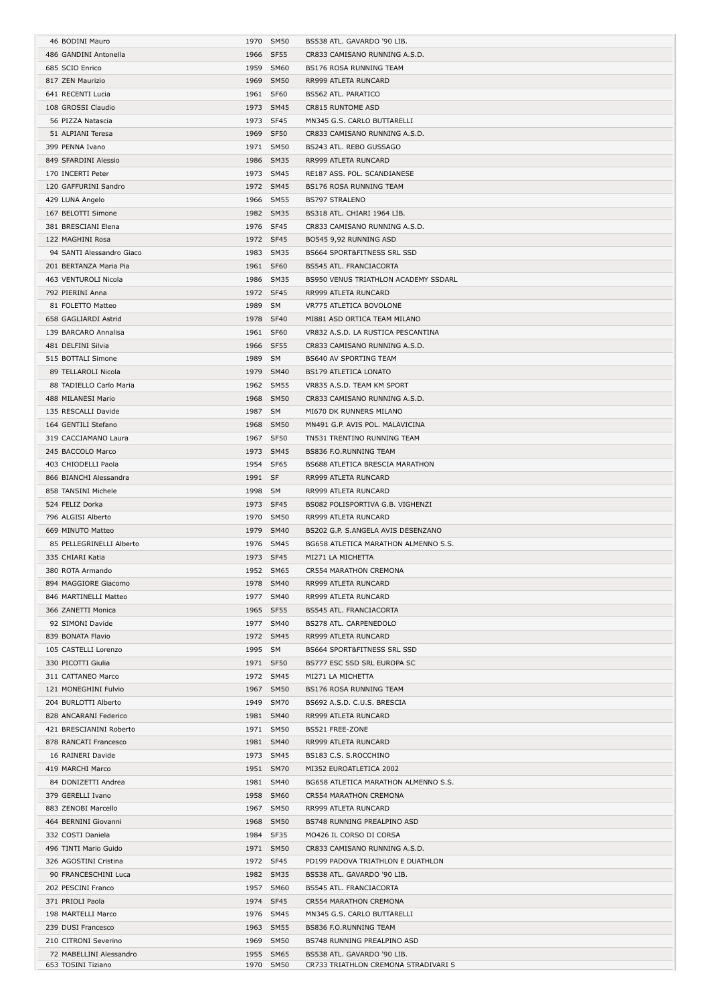| 46 BODINI Mauro           |           | 1970 SM50 | BS538 ATL. GAVARDO '90 LIB.          |
|---------------------------|-----------|-----------|--------------------------------------|
| 486 GANDINI Antonella     |           | 1966 SF55 | CR833 CAMISANO RUNNING A.S.D.        |
| 685 SCIO Enrico           |           | 1959 SM60 | <b>BS176 ROSA RUNNING TEAM</b>       |
| 817 ZEN Maurizio          |           | 1969 SM50 | RR999 ATLETA RUNCARD                 |
| 641 RECENTI Lucia         |           | 1961 SF60 | BS562 ATL. PARATICO                  |
| 108 GROSSI Claudio        |           | 1973 SM45 | CR815 RUNTOME ASD                    |
|                           |           |           | MN345 G.S. CARLO BUTTARELLI          |
| 56 PIZZA Natascia         |           | 1973 SF45 |                                      |
| 51 ALPIANI Teresa         |           | 1969 SF50 | CR833 CAMISANO RUNNING A.S.D.        |
| 399 PENNA Ivano           |           | 1971 SM50 | BS243 ATL. REBO GUSSAGO              |
| 849 SFARDINI Alessio      |           | 1986 SM35 | RR999 ATLETA RUNCARD                 |
| 170 INCERTI Peter         |           | 1973 SM45 | RE187 ASS. POL. SCANDIANESE          |
| 120 GAFFURINI Sandro      |           | 1972 SM45 | BS176 ROSA RUNNING TEAM              |
| 429 LUNA Angelo           |           | 1966 SM55 | <b>BS797 STRALENO</b>                |
| 167 BELOTTI Simone        |           | 1982 SM35 | BS318 ATL. CHIARI 1964 LIB.          |
| 381 BRESCIANI Elena       |           | 1976 SF45 | CR833 CAMISANO RUNNING A.S.D.        |
| 122 MAGHINI Rosa          |           | 1972 SF45 | BO545 9,92 RUNNING ASD               |
| 94 SANTI Alessandro Giaco |           | 1983 SM35 | BS664 SPORT&FITNESS SRL SSD          |
| 201 BERTANZA Maria Pia    |           | 1961 SF60 | BS545 ATL. FRANCIACORTA              |
| 463 VENTUROLI Nicola      |           | 1986 SM35 | BS950 VENUS TRIATHLON ACADEMY SSDARL |
|                           |           |           |                                      |
| 792 PIERINI Anna          |           | 1972 SF45 | RR999 ATLETA RUNCARD                 |
| 81 FOLETTO Matteo         | 1989 SM   |           | VR775 ATLETICA BOVOLONE              |
| 658 GAGLIARDI Astrid      |           | 1978 SF40 | MI881 ASD ORTICA TEAM MILANO         |
| 139 BARCARO Annalisa      |           | 1961 SF60 | VR832 A.S.D. LA RUSTICA PESCANTINA   |
| 481 DELFINI Silvia        |           | 1966 SF55 | CR833 CAMISANO RUNNING A.S.D.        |
| 515 BOTTALI Simone        | 1989 SM   |           | BS640 AV SPORTING TEAM               |
| 89 TELLAROLI Nicola       |           | 1979 SM40 | <b>BS179 ATLETICA LONATO</b>         |
| 88 TADIELLO Carlo Maria   |           | 1962 SM55 | VR835 A.S.D. TEAM KM SPORT           |
| 488 MILANESI Mario        |           | 1968 SM50 | CR833 CAMISANO RUNNING A.S.D.        |
| 135 RESCALLI Davide       | 1987 SM   |           | MI670 DK RUNNERS MILANO              |
| 164 GENTILI Stefano       |           | 1968 SM50 | MN491 G.P. AVIS POL. MALAVICINA      |
| 319 CACCIAMANO Laura      |           | 1967 SF50 | TN531 TRENTINO RUNNING TEAM          |
| 245 BACCOLO Marco         |           | 1973 SM45 | BS836 F.O.RUNNING TEAM               |
|                           |           |           |                                      |
| 403 CHIODELLI Paola       |           | 1954 SF65 | BS688 ATLETICA BRESCIA MARATHON      |
| 866 BIANCHI Alessandra    | 1991 SF   |           | RR999 ATLETA RUNCARD                 |
| 858 TANSINI Michele       | 1998 SM   |           | RR999 ATLETA RUNCARD                 |
| 524 FELIZ Dorka           |           | 1973 SF45 | BS082 POLISPORTIVA G.B. VIGHENZI     |
|                           |           |           |                                      |
| 796 ALGISI Alberto        | 1970 SM50 |           | RR999 ATLETA RUNCARD                 |
| 669 MINUTO Matteo         |           | 1979 SM40 | BS202 G.P. S.ANGELA AVIS DESENZANO   |
| 85 PELLEGRINELLI Alberto  |           | 1976 SM45 | BG658 ATLETICA MARATHON ALMENNO S.S. |
| 335 CHIARI Katia          |           | 1973 SF45 | MI271 LA MICHETTA                    |
| 380 ROTA Armando          |           | 1952 SM65 | CR554 MARATHON CREMONA               |
| 894 MAGGIORE Giacomo      |           | 1978 SM40 | RR999 ATLETA RUNCARD                 |
| 846 MARTINELLI Matteo     |           |           |                                      |
|                           |           | 1977 SM40 | RR999 ATLETA RUNCARD                 |
| 366 ZANETTI Monica        |           | 1965 SF55 | BS545 ATL. FRANCIACORTA              |
| 92 SIMONI Davide          |           | 1977 SM40 | BS278 ATL. CARPENEDOLO               |
| 839 BONATA Flavio         |           | 1972 SM45 | RR999 ATLETA RUNCARD                 |
| 105 CASTELLI Lorenzo      | 1995 SM   |           | BS664 SPORT&FITNESS SRL SSD          |
| 330 PICOTTI Giulia        |           | 1971 SF50 | BS777 ESC SSD SRL EUROPA SC          |
| 311 CATTANEO Marco        |           | 1972 SM45 | MI271 LA MICHETTA                    |
| 121 MONEGHINI Fulvio      |           | 1967 SM50 | BS176 ROSA RUNNING TEAM              |
| 204 BURLOTTI Alberto      |           | 1949 SM70 | BS692 A.S.D. C.U.S. BRESCIA          |
| 828 ANCARANI Federico     |           | 1981 SM40 | RR999 ATLETA RUNCARD                 |
| 421 BRESCIANINI Roberto   |           | 1971 SM50 | BS521 FREE-ZONE                      |
| 878 RANCATI Francesco     |           | 1981 SM40 | RR999 ATLETA RUNCARD                 |
| 16 RAINERI Davide         |           | 1973 SM45 | BS183 C.S. S.ROCCHINO                |
| 419 MARCHI Marco          |           | 1951 SM70 | MI352 EUROATLETICA 2002              |
| 84 DONIZETTI Andrea       |           | 1981 SM40 | BG658 ATLETICA MARATHON ALMENNO S.S. |
|                           |           |           |                                      |
| 379 GERELLI Ivano         |           | 1958 SM60 | CR554 MARATHON CREMONA               |
| 883 ZENOBI Marcello       |           | 1967 SM50 | RR999 ATLETA RUNCARD                 |
| 464 BERNINI Giovanni      |           | 1968 SM50 | BS748 RUNNING PREALPINO ASD          |
| 332 COSTI Daniela         |           | 1984 SF35 | MO426 IL CORSO DI CORSA              |
| 496 TINTI Mario Guido     |           | 1971 SM50 | CR833 CAMISANO RUNNING A.S.D.        |
| 326 AGOSTINI Cristina     |           | 1972 SF45 | PD199 PADOVA TRIATHLON E DUATHLON    |
| 90 FRANCESCHINI Luca      |           | 1982 SM35 | BS538 ATL. GAVARDO '90 LIB.          |
| 202 PESCINI Franco        |           | 1957 SM60 | BS545 ATL. FRANCIACORTA              |
| 371 PRIOLI Paola          |           | 1974 SF45 | CR554 MARATHON CREMONA               |
| 198 MARTELLI Marco        |           | 1976 SM45 | MN345 G.S. CARLO BUTTARELLI          |
| 239 DUSI Francesco        |           | 1963 SM55 | BS836 F.O.RUNNING TEAM               |
| 210 CITRONI Severino      |           | 1969 SM50 | BS748 RUNNING PREALPINO ASD          |
| 72 MABELLINI Alessandro   |           | 1955 SM65 | BS538 ATL. GAVARDO '90 LIB.          |